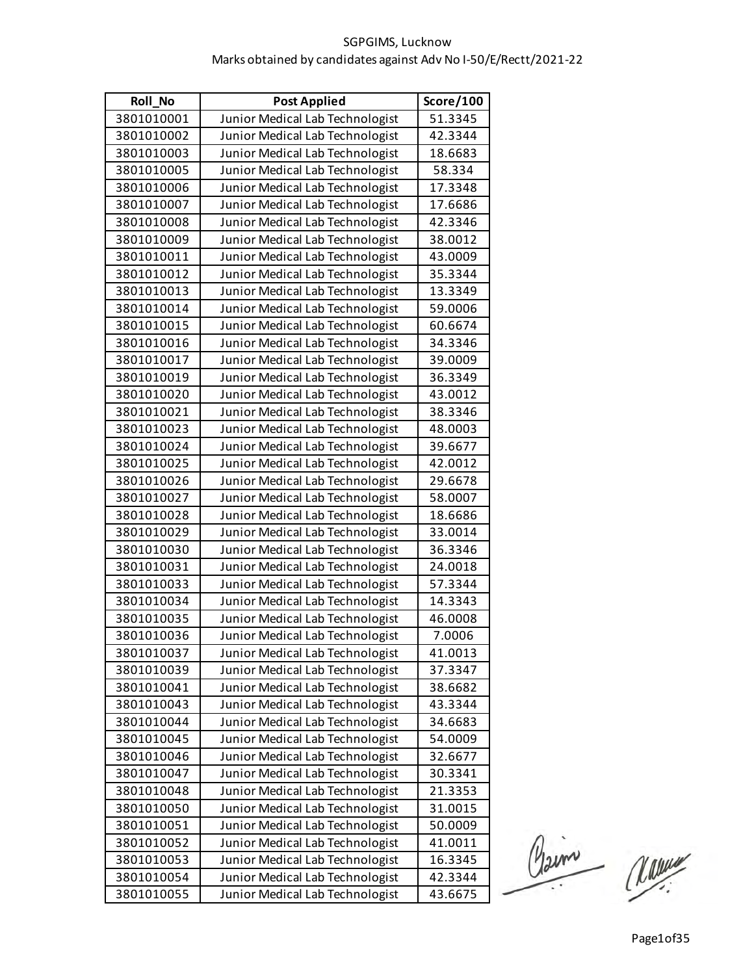| <b>Roll No</b> | <b>Post Applied</b>             | Score/100 |
|----------------|---------------------------------|-----------|
| 3801010001     | Junior Medical Lab Technologist | 51.3345   |
| 3801010002     | Junior Medical Lab Technologist | 42.3344   |
| 3801010003     | Junior Medical Lab Technologist | 18.6683   |
| 3801010005     | Junior Medical Lab Technologist | 58.334    |
| 3801010006     | Junior Medical Lab Technologist | 17.3348   |
| 3801010007     | Junior Medical Lab Technologist | 17.6686   |
| 3801010008     | Junior Medical Lab Technologist | 42.3346   |
| 3801010009     | Junior Medical Lab Technologist | 38.0012   |
| 3801010011     | Junior Medical Lab Technologist | 43.0009   |
| 3801010012     | Junior Medical Lab Technologist | 35.3344   |
| 3801010013     | Junior Medical Lab Technologist | 13.3349   |
| 3801010014     | Junior Medical Lab Technologist | 59.0006   |
| 3801010015     | Junior Medical Lab Technologist | 60.6674   |
| 3801010016     | Junior Medical Lab Technologist | 34.3346   |
| 3801010017     | Junior Medical Lab Technologist | 39.0009   |
| 3801010019     | Junior Medical Lab Technologist | 36.3349   |
| 3801010020     | Junior Medical Lab Technologist | 43.0012   |
| 3801010021     | Junior Medical Lab Technologist | 38.3346   |
| 3801010023     | Junior Medical Lab Technologist | 48.0003   |
| 3801010024     | Junior Medical Lab Technologist | 39.6677   |
| 3801010025     | Junior Medical Lab Technologist | 42.0012   |
| 3801010026     | Junior Medical Lab Technologist | 29.6678   |
| 3801010027     | Junior Medical Lab Technologist | 58.0007   |
| 3801010028     | Junior Medical Lab Technologist | 18.6686   |
| 3801010029     | Junior Medical Lab Technologist | 33.0014   |
| 3801010030     | Junior Medical Lab Technologist | 36.3346   |
| 3801010031     | Junior Medical Lab Technologist | 24.0018   |
| 3801010033     | Junior Medical Lab Technologist | 57.3344   |
| 3801010034     | Junior Medical Lab Technologist | 14.3343   |
| 3801010035     | Junior Medical Lab Technologist | 46.0008   |
| 3801010036     | Junior Medical Lab Technologist | 7.0006    |
| 3801010037     | Junior Medical Lab Technologist | 41.0013   |
| 3801010039     | Junior Medical Lab Technologist | 37.3347   |
| 3801010041     | Junior Medical Lab Technologist | 38.6682   |
| 3801010043     | Junior Medical Lab Technologist | 43.3344   |
| 3801010044     | Junior Medical Lab Technologist | 34.6683   |
| 3801010045     | Junior Medical Lab Technologist | 54.0009   |
| 3801010046     | Junior Medical Lab Technologist | 32.6677   |
| 3801010047     | Junior Medical Lab Technologist | 30.3341   |
| 3801010048     | Junior Medical Lab Technologist | 21.3353   |
| 3801010050     | Junior Medical Lab Technologist | 31.0015   |
| 3801010051     | Junior Medical Lab Technologist | 50.0009   |
| 3801010052     | Junior Medical Lab Technologist | 41.0011   |
| 3801010053     | Junior Medical Lab Technologist | 16.3345   |
| 3801010054     | Junior Medical Lab Technologist | 42.3344   |
| 3801010055     | Junior Medical Lab Technologist | 43.6675   |

Claim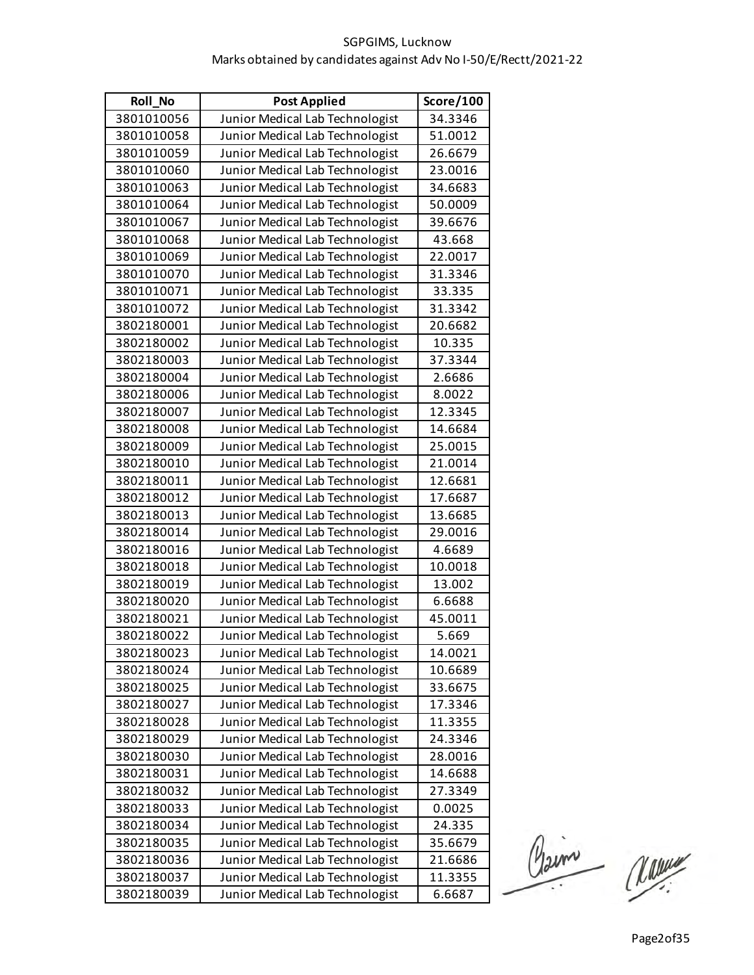| Roll_No    | <b>Post Applied</b>             | Score/100 |
|------------|---------------------------------|-----------|
| 3801010056 | Junior Medical Lab Technologist | 34.3346   |
| 3801010058 | Junior Medical Lab Technologist | 51.0012   |
| 3801010059 | Junior Medical Lab Technologist | 26.6679   |
| 3801010060 | Junior Medical Lab Technologist | 23.0016   |
| 3801010063 | Junior Medical Lab Technologist | 34.6683   |
| 3801010064 | Junior Medical Lab Technologist | 50.0009   |
| 3801010067 | Junior Medical Lab Technologist | 39.6676   |
| 3801010068 | Junior Medical Lab Technologist | 43.668    |
| 3801010069 | Junior Medical Lab Technologist | 22.0017   |
| 3801010070 | Junior Medical Lab Technologist | 31.3346   |
| 3801010071 | Junior Medical Lab Technologist | 33.335    |
| 3801010072 | Junior Medical Lab Technologist | 31.3342   |
| 3802180001 | Junior Medical Lab Technologist | 20.6682   |
| 3802180002 | Junior Medical Lab Technologist | 10.335    |
| 3802180003 | Junior Medical Lab Technologist | 37.3344   |
| 3802180004 | Junior Medical Lab Technologist | 2.6686    |
| 3802180006 | Junior Medical Lab Technologist | 8.0022    |
| 3802180007 | Junior Medical Lab Technologist | 12.3345   |
| 3802180008 | Junior Medical Lab Technologist | 14.6684   |
| 3802180009 | Junior Medical Lab Technologist | 25.0015   |
| 3802180010 | Junior Medical Lab Technologist | 21.0014   |
| 3802180011 | Junior Medical Lab Technologist | 12.6681   |
| 3802180012 | Junior Medical Lab Technologist | 17.6687   |
| 3802180013 | Junior Medical Lab Technologist | 13.6685   |
| 3802180014 | Junior Medical Lab Technologist | 29.0016   |
| 3802180016 | Junior Medical Lab Technologist | 4.6689    |
| 3802180018 | Junior Medical Lab Technologist | 10.0018   |
| 3802180019 | Junior Medical Lab Technologist | 13.002    |
| 3802180020 | Junior Medical Lab Technologist | 6.6688    |
| 3802180021 | Junior Medical Lab Technologist | 45.0011   |
| 3802180022 | Junior Medical Lab Technologist | 5.669     |
| 3802180023 | Junior Medical Lab Technologist | 14.0021   |
| 3802180024 | Junior Medical Lab Technologist | 10.6689   |
| 3802180025 | Junior Medical Lab Technologist | 33.6675   |
| 3802180027 | Junior Medical Lab Technologist | 17.3346   |
| 3802180028 | Junior Medical Lab Technologist | 11.3355   |
| 3802180029 | Junior Medical Lab Technologist | 24.3346   |
| 3802180030 | Junior Medical Lab Technologist | 28.0016   |
| 3802180031 | Junior Medical Lab Technologist | 14.6688   |
| 3802180032 | Junior Medical Lab Technologist | 27.3349   |
| 3802180033 | Junior Medical Lab Technologist | 0.0025    |
| 3802180034 | Junior Medical Lab Technologist | 24.335    |
| 3802180035 | Junior Medical Lab Technologist | 35.6679   |
| 3802180036 | Junior Medical Lab Technologist | 21.6686   |
| 3802180037 | Junior Medical Lab Technologist | 11.3355   |
| 3802180039 | Junior Medical Lab Technologist | 6.6687    |

Claim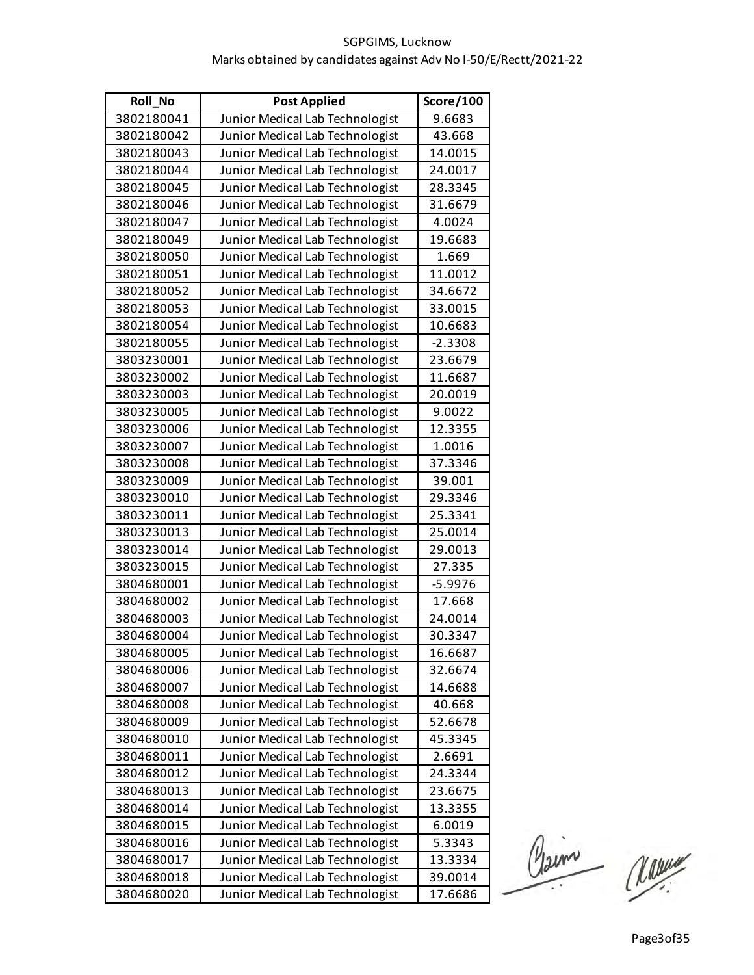| Roll_No    | <b>Post Applied</b>             | Score/100 |
|------------|---------------------------------|-----------|
| 3802180041 | Junior Medical Lab Technologist | 9.6683    |
| 3802180042 | Junior Medical Lab Technologist | 43.668    |
| 3802180043 | Junior Medical Lab Technologist | 14.0015   |
| 3802180044 | Junior Medical Lab Technologist | 24.0017   |
| 3802180045 | Junior Medical Lab Technologist | 28.3345   |
| 3802180046 | Junior Medical Lab Technologist | 31.6679   |
| 3802180047 | Junior Medical Lab Technologist | 4.0024    |
| 3802180049 | Junior Medical Lab Technologist | 19.6683   |
| 3802180050 | Junior Medical Lab Technologist | 1.669     |
| 3802180051 | Junior Medical Lab Technologist | 11.0012   |
| 3802180052 | Junior Medical Lab Technologist | 34.6672   |
| 3802180053 | Junior Medical Lab Technologist | 33.0015   |
| 3802180054 | Junior Medical Lab Technologist | 10.6683   |
| 3802180055 | Junior Medical Lab Technologist | $-2.3308$ |
| 3803230001 | Junior Medical Lab Technologist | 23.6679   |
| 3803230002 | Junior Medical Lab Technologist | 11.6687   |
| 3803230003 | Junior Medical Lab Technologist | 20.0019   |
| 3803230005 | Junior Medical Lab Technologist | 9.0022    |
| 3803230006 | Junior Medical Lab Technologist | 12.3355   |
| 3803230007 | Junior Medical Lab Technologist | 1.0016    |
| 3803230008 | Junior Medical Lab Technologist | 37.3346   |
| 3803230009 | Junior Medical Lab Technologist | 39.001    |
| 3803230010 | Junior Medical Lab Technologist | 29.3346   |
| 3803230011 | Junior Medical Lab Technologist | 25.3341   |
| 3803230013 | Junior Medical Lab Technologist | 25.0014   |
| 3803230014 | Junior Medical Lab Technologist | 29.0013   |
| 3803230015 | Junior Medical Lab Technologist | 27.335    |
| 3804680001 | Junior Medical Lab Technologist | $-5.9976$ |
| 3804680002 | Junior Medical Lab Technologist | 17.668    |
| 3804680003 | Junior Medical Lab Technologist | 24.0014   |
| 3804680004 | Junior Medical Lab Technologist | 30.3347   |
| 3804680005 | Junior Medical Lab Technologist | 16.6687   |
| 3804680006 | Junior Medical Lab Technologist | 32.6674   |
| 3804680007 | Junior Medical Lab Technologist | 14.6688   |
| 3804680008 | Junior Medical Lab Technologist | 40.668    |
| 3804680009 | Junior Medical Lab Technologist | 52.6678   |
| 3804680010 | Junior Medical Lab Technologist | 45.3345   |
| 3804680011 | Junior Medical Lab Technologist | 2.6691    |
| 3804680012 | Junior Medical Lab Technologist | 24.3344   |
| 3804680013 | Junior Medical Lab Technologist | 23.6675   |
| 3804680014 | Junior Medical Lab Technologist | 13.3355   |
| 3804680015 | Junior Medical Lab Technologist | 6.0019    |
| 3804680016 | Junior Medical Lab Technologist | 5.3343    |
| 3804680017 | Junior Medical Lab Technologist | 13.3334   |
| 3804680018 | Junior Medical Lab Technologist | 39.0014   |
| 3804680020 | Junior Medical Lab Technologist | 17.6686   |

Claim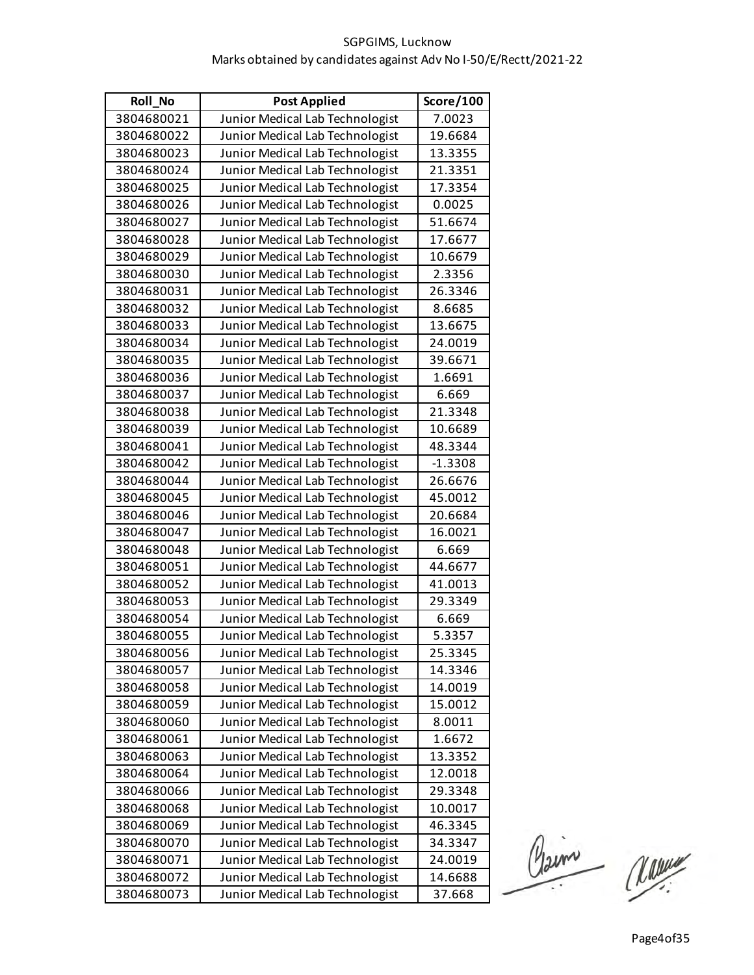| Roll_No    | <b>Post Applied</b>             | Score/100 |
|------------|---------------------------------|-----------|
| 3804680021 | Junior Medical Lab Technologist | 7.0023    |
| 3804680022 | Junior Medical Lab Technologist | 19.6684   |
| 3804680023 | Junior Medical Lab Technologist | 13.3355   |
| 3804680024 | Junior Medical Lab Technologist | 21.3351   |
| 3804680025 | Junior Medical Lab Technologist | 17.3354   |
| 3804680026 | Junior Medical Lab Technologist | 0.0025    |
| 3804680027 | Junior Medical Lab Technologist | 51.6674   |
| 3804680028 | Junior Medical Lab Technologist | 17.6677   |
| 3804680029 | Junior Medical Lab Technologist | 10.6679   |
| 3804680030 | Junior Medical Lab Technologist | 2.3356    |
| 3804680031 | Junior Medical Lab Technologist | 26.3346   |
| 3804680032 | Junior Medical Lab Technologist | 8.6685    |
| 3804680033 | Junior Medical Lab Technologist | 13.6675   |
| 3804680034 | Junior Medical Lab Technologist | 24.0019   |
| 3804680035 | Junior Medical Lab Technologist | 39.6671   |
| 3804680036 | Junior Medical Lab Technologist | 1.6691    |
| 3804680037 | Junior Medical Lab Technologist | 6.669     |
| 3804680038 | Junior Medical Lab Technologist | 21.3348   |
| 3804680039 | Junior Medical Lab Technologist | 10.6689   |
| 3804680041 | Junior Medical Lab Technologist | 48.3344   |
| 3804680042 | Junior Medical Lab Technologist | $-1.3308$ |
| 3804680044 | Junior Medical Lab Technologist | 26.6676   |
| 3804680045 | Junior Medical Lab Technologist | 45.0012   |
| 3804680046 | Junior Medical Lab Technologist | 20.6684   |
| 3804680047 | Junior Medical Lab Technologist | 16.0021   |
| 3804680048 | Junior Medical Lab Technologist | 6.669     |
| 3804680051 | Junior Medical Lab Technologist | 44.6677   |
| 3804680052 | Junior Medical Lab Technologist | 41.0013   |
| 3804680053 | Junior Medical Lab Technologist | 29.3349   |
| 3804680054 | Junior Medical Lab Technologist | 6.669     |
| 3804680055 | Junior Medical Lab Technologist | 5.3357    |
| 3804680056 | Junior Medical Lab Technologist | 25.3345   |
| 3804680057 | Junior Medical Lab Technologist | 14.3346   |
| 3804680058 | Junior Medical Lab Technologist | 14.0019   |
| 3804680059 | Junior Medical Lab Technologist | 15.0012   |
| 3804680060 | Junior Medical Lab Technologist | 8.0011    |
| 3804680061 | Junior Medical Lab Technologist | 1.6672    |
| 3804680063 | Junior Medical Lab Technologist | 13.3352   |
| 3804680064 | Junior Medical Lab Technologist | 12.0018   |
| 3804680066 | Junior Medical Lab Technologist | 29.3348   |
| 3804680068 | Junior Medical Lab Technologist | 10.0017   |
| 3804680069 | Junior Medical Lab Technologist | 46.3345   |
| 3804680070 | Junior Medical Lab Technologist | 34.3347   |
| 3804680071 | Junior Medical Lab Technologist | 24.0019   |
| 3804680072 | Junior Medical Lab Technologist | 14.6688   |
| 3804680073 | Junior Medical Lab Technologist | 37.668    |

Claim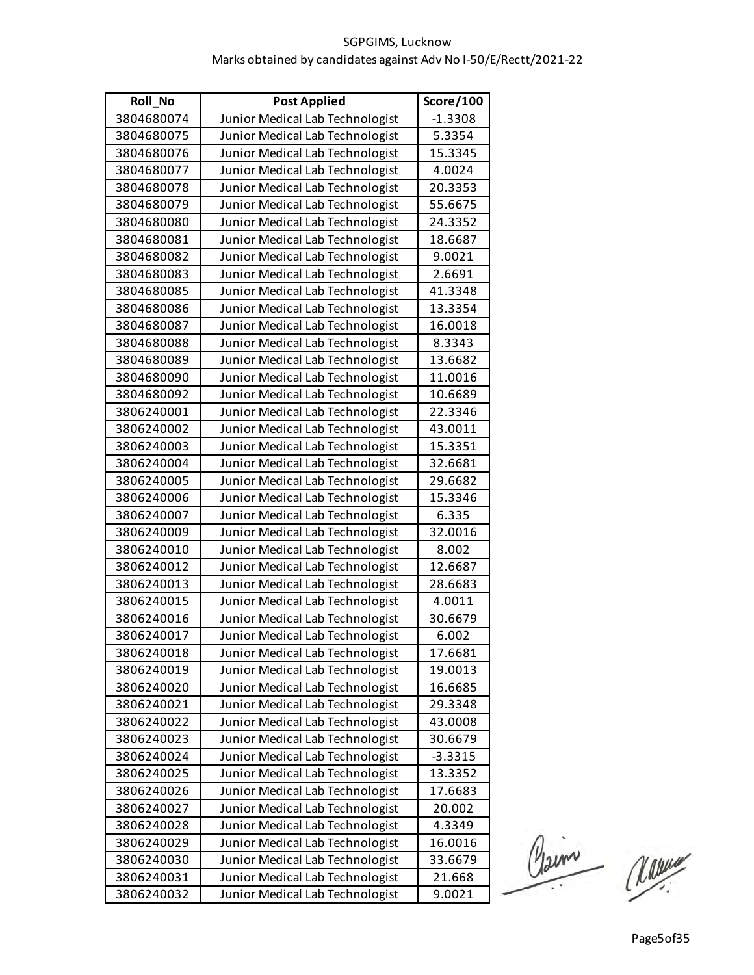| <b>Roll No</b> | <b>Post Applied</b>             | Score/100 |
|----------------|---------------------------------|-----------|
| 3804680074     | Junior Medical Lab Technologist | $-1.3308$ |
| 3804680075     | Junior Medical Lab Technologist | 5.3354    |
| 3804680076     | Junior Medical Lab Technologist | 15.3345   |
| 3804680077     | Junior Medical Lab Technologist | 4.0024    |
| 3804680078     | Junior Medical Lab Technologist | 20.3353   |
| 3804680079     | Junior Medical Lab Technologist | 55.6675   |
| 3804680080     | Junior Medical Lab Technologist | 24.3352   |
| 3804680081     | Junior Medical Lab Technologist | 18.6687   |
| 3804680082     | Junior Medical Lab Technologist | 9.0021    |
| 3804680083     | Junior Medical Lab Technologist | 2.6691    |
| 3804680085     | Junior Medical Lab Technologist | 41.3348   |
| 3804680086     | Junior Medical Lab Technologist | 13.3354   |
| 3804680087     | Junior Medical Lab Technologist | 16.0018   |
| 3804680088     | Junior Medical Lab Technologist | 8.3343    |
| 3804680089     | Junior Medical Lab Technologist | 13.6682   |
| 3804680090     | Junior Medical Lab Technologist | 11.0016   |
| 3804680092     | Junior Medical Lab Technologist | 10.6689   |
| 3806240001     | Junior Medical Lab Technologist | 22.3346   |
| 3806240002     | Junior Medical Lab Technologist | 43.0011   |
| 3806240003     | Junior Medical Lab Technologist | 15.3351   |
| 3806240004     | Junior Medical Lab Technologist | 32.6681   |
| 3806240005     | Junior Medical Lab Technologist | 29.6682   |
| 3806240006     | Junior Medical Lab Technologist | 15.3346   |
| 3806240007     | Junior Medical Lab Technologist | 6.335     |
| 3806240009     | Junior Medical Lab Technologist | 32.0016   |
| 3806240010     | Junior Medical Lab Technologist | 8.002     |
| 3806240012     | Junior Medical Lab Technologist | 12.6687   |
| 3806240013     | Junior Medical Lab Technologist | 28.6683   |
| 3806240015     | Junior Medical Lab Technologist | 4.0011    |
| 3806240016     | Junior Medical Lab Technologist | 30.6679   |
| 3806240017     | Junior Medical Lab Technologist | 6.002     |
| 3806240018     | Junior Medical Lab Technologist | 17.6681   |
| 3806240019     | Junior Medical Lab Technologist | 19.0013   |
| 3806240020     | Junior Medical Lab Technologist | 16.6685   |
| 3806240021     | Junior Medical Lab Technologist | 29.3348   |
| 3806240022     | Junior Medical Lab Technologist | 43.0008   |
| 3806240023     | Junior Medical Lab Technologist | 30.6679   |
| 3806240024     | Junior Medical Lab Technologist | $-3.3315$ |
| 3806240025     | Junior Medical Lab Technologist | 13.3352   |
| 3806240026     | Junior Medical Lab Technologist | 17.6683   |
| 3806240027     | Junior Medical Lab Technologist | 20.002    |
| 3806240028     | Junior Medical Lab Technologist | 4.3349    |
| 3806240029     | Junior Medical Lab Technologist | 16.0016   |
| 3806240030     | Junior Medical Lab Technologist | 33.6679   |
| 3806240031     | Junior Medical Lab Technologist | 21.668    |
| 3806240032     | Junior Medical Lab Technologist | 9.0021    |

Claim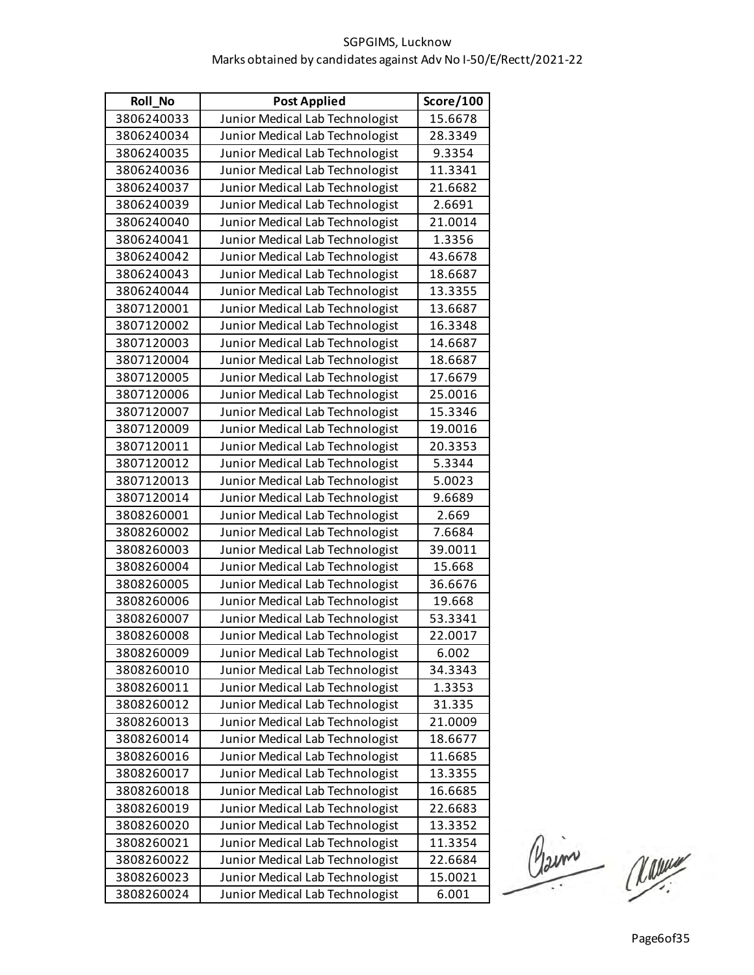| Roll_No    | <b>Post Applied</b>             | Score/100 |
|------------|---------------------------------|-----------|
| 3806240033 | Junior Medical Lab Technologist | 15.6678   |
| 3806240034 | Junior Medical Lab Technologist | 28.3349   |
| 3806240035 | Junior Medical Lab Technologist | 9.3354    |
| 3806240036 | Junior Medical Lab Technologist | 11.3341   |
| 3806240037 | Junior Medical Lab Technologist | 21.6682   |
| 3806240039 | Junior Medical Lab Technologist | 2.6691    |
| 3806240040 | Junior Medical Lab Technologist | 21.0014   |
| 3806240041 | Junior Medical Lab Technologist | 1.3356    |
| 3806240042 | Junior Medical Lab Technologist | 43.6678   |
| 3806240043 | Junior Medical Lab Technologist | 18.6687   |
| 3806240044 | Junior Medical Lab Technologist | 13.3355   |
| 3807120001 | Junior Medical Lab Technologist | 13.6687   |
| 3807120002 | Junior Medical Lab Technologist | 16.3348   |
| 3807120003 | Junior Medical Lab Technologist | 14.6687   |
| 3807120004 | Junior Medical Lab Technologist | 18.6687   |
| 3807120005 | Junior Medical Lab Technologist | 17.6679   |
| 3807120006 | Junior Medical Lab Technologist | 25.0016   |
| 3807120007 | Junior Medical Lab Technologist | 15.3346   |
| 3807120009 | Junior Medical Lab Technologist | 19.0016   |
| 3807120011 | Junior Medical Lab Technologist | 20.3353   |
| 3807120012 | Junior Medical Lab Technologist | 5.3344    |
| 3807120013 | Junior Medical Lab Technologist | 5.0023    |
| 3807120014 | Junior Medical Lab Technologist | 9.6689    |
| 3808260001 | Junior Medical Lab Technologist | 2.669     |
| 3808260002 | Junior Medical Lab Technologist | 7.6684    |
| 3808260003 | Junior Medical Lab Technologist | 39.0011   |
| 3808260004 | Junior Medical Lab Technologist | 15.668    |
| 3808260005 | Junior Medical Lab Technologist | 36.6676   |
| 3808260006 | Junior Medical Lab Technologist | 19.668    |
| 3808260007 | Junior Medical Lab Technologist | 53.3341   |
| 3808260008 | Junior Medical Lab Technologist | 22.0017   |
| 3808260009 | Junior Medical Lab Technologist | 6.002     |
| 3808260010 | Junior Medical Lab Technologist | 34.3343   |
| 3808260011 | Junior Medical Lab Technologist | 1.3353    |
| 3808260012 | Junior Medical Lab Technologist | 31.335    |
| 3808260013 | Junior Medical Lab Technologist | 21.0009   |
| 3808260014 | Junior Medical Lab Technologist | 18.6677   |
| 3808260016 | Junior Medical Lab Technologist | 11.6685   |
| 3808260017 | Junior Medical Lab Technologist | 13.3355   |
| 3808260018 | Junior Medical Lab Technologist | 16.6685   |
| 3808260019 | Junior Medical Lab Technologist | 22.6683   |
| 3808260020 | Junior Medical Lab Technologist | 13.3352   |
| 3808260021 | Junior Medical Lab Technologist | 11.3354   |
| 3808260022 | Junior Medical Lab Technologist | 22.6684   |
| 3808260023 | Junior Medical Lab Technologist | 15.0021   |
| 3808260024 | Junior Medical Lab Technologist | 6.001     |

Claim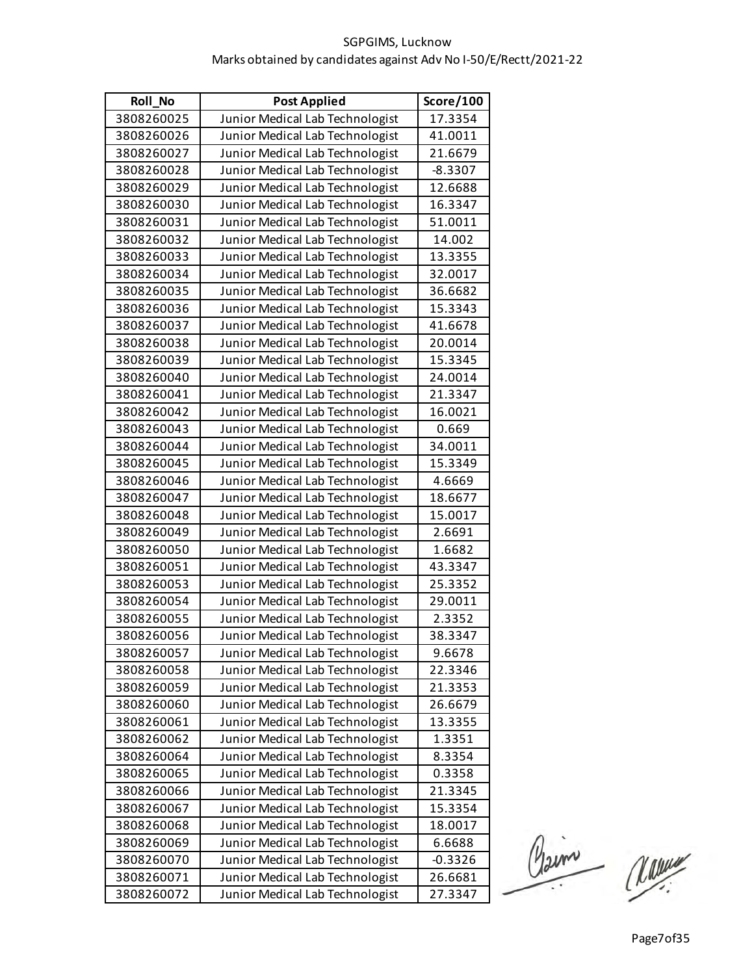| <b>Roll No</b> | <b>Post Applied</b>             | Score/100 |
|----------------|---------------------------------|-----------|
| 3808260025     | Junior Medical Lab Technologist | 17.3354   |
| 3808260026     | Junior Medical Lab Technologist | 41.0011   |
| 3808260027     | Junior Medical Lab Technologist | 21.6679   |
| 3808260028     | Junior Medical Lab Technologist | $-8.3307$ |
| 3808260029     | Junior Medical Lab Technologist | 12.6688   |
| 3808260030     | Junior Medical Lab Technologist | 16.3347   |
| 3808260031     | Junior Medical Lab Technologist | 51.0011   |
| 3808260032     | Junior Medical Lab Technologist | 14.002    |
| 3808260033     | Junior Medical Lab Technologist | 13.3355   |
| 3808260034     | Junior Medical Lab Technologist | 32.0017   |
| 3808260035     | Junior Medical Lab Technologist | 36.6682   |
| 3808260036     | Junior Medical Lab Technologist | 15.3343   |
| 3808260037     | Junior Medical Lab Technologist | 41.6678   |
| 3808260038     | Junior Medical Lab Technologist | 20.0014   |
| 3808260039     | Junior Medical Lab Technologist | 15.3345   |
| 3808260040     | Junior Medical Lab Technologist | 24.0014   |
| 3808260041     | Junior Medical Lab Technologist | 21.3347   |
| 3808260042     | Junior Medical Lab Technologist | 16.0021   |
| 3808260043     | Junior Medical Lab Technologist | 0.669     |
| 3808260044     | Junior Medical Lab Technologist | 34.0011   |
| 3808260045     | Junior Medical Lab Technologist | 15.3349   |
| 3808260046     | Junior Medical Lab Technologist | 4.6669    |
| 3808260047     | Junior Medical Lab Technologist | 18.6677   |
| 3808260048     | Junior Medical Lab Technologist | 15.0017   |
| 3808260049     | Junior Medical Lab Technologist | 2.6691    |
| 3808260050     | Junior Medical Lab Technologist | 1.6682    |
| 3808260051     | Junior Medical Lab Technologist | 43.3347   |
| 3808260053     | Junior Medical Lab Technologist | 25.3352   |
| 3808260054     | Junior Medical Lab Technologist | 29.0011   |
| 3808260055     | Junior Medical Lab Technologist | 2.3352    |
| 3808260056     | Junior Medical Lab Technologist | 38.3347   |
| 3808260057     | Junior Medical Lab Technologist | 9.6678    |
| 3808260058     | Junior Medical Lab Technologist | 22.3346   |
| 3808260059     | Junior Medical Lab Technologist | 21.3353   |
| 3808260060     | Junior Medical Lab Technologist | 26.6679   |
| 3808260061     | Junior Medical Lab Technologist | 13.3355   |
| 3808260062     | Junior Medical Lab Technologist | 1.3351    |
| 3808260064     | Junior Medical Lab Technologist | 8.3354    |
| 3808260065     | Junior Medical Lab Technologist | 0.3358    |
| 3808260066     | Junior Medical Lab Technologist | 21.3345   |
| 3808260067     | Junior Medical Lab Technologist | 15.3354   |
| 3808260068     | Junior Medical Lab Technologist | 18.0017   |
| 3808260069     | Junior Medical Lab Technologist | 6.6688    |
| 3808260070     | Junior Medical Lab Technologist | $-0.3326$ |
| 3808260071     | Junior Medical Lab Technologist | 26.6681   |
| 3808260072     | Junior Medical Lab Technologist | 27.3347   |

Claim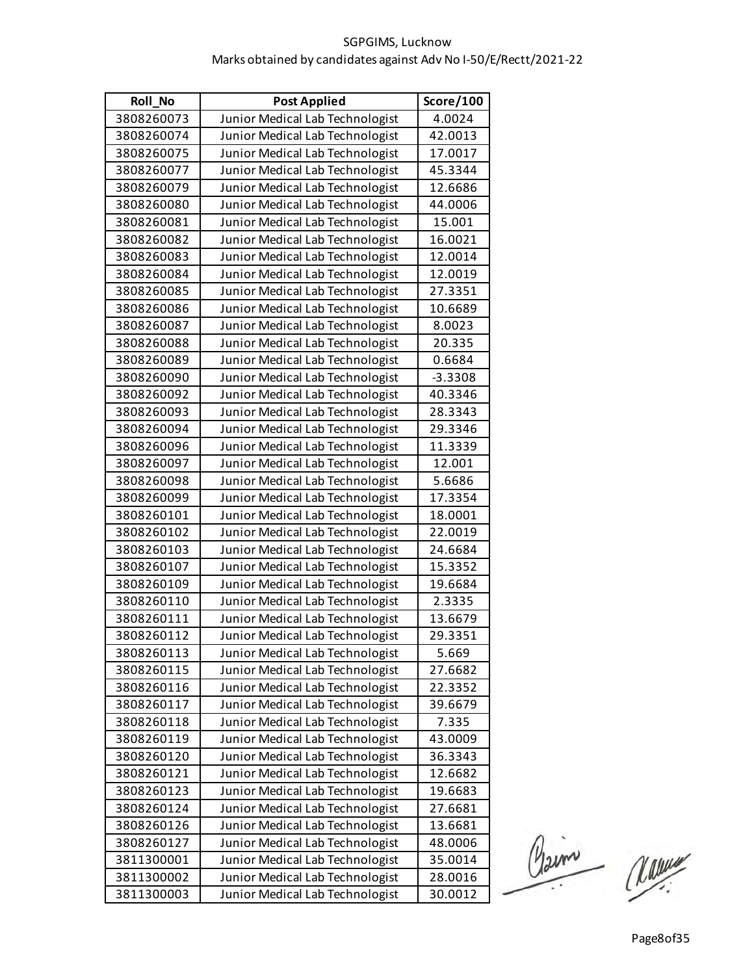| <b>Roll No</b> | <b>Post Applied</b>             | Score/100 |
|----------------|---------------------------------|-----------|
| 3808260073     | Junior Medical Lab Technologist | 4.0024    |
| 3808260074     | Junior Medical Lab Technologist | 42.0013   |
| 3808260075     | Junior Medical Lab Technologist | 17.0017   |
| 3808260077     | Junior Medical Lab Technologist | 45.3344   |
| 3808260079     | Junior Medical Lab Technologist | 12.6686   |
| 3808260080     | Junior Medical Lab Technologist | 44.0006   |
| 3808260081     | Junior Medical Lab Technologist | 15.001    |
| 3808260082     | Junior Medical Lab Technologist | 16.0021   |
| 3808260083     | Junior Medical Lab Technologist | 12.0014   |
| 3808260084     | Junior Medical Lab Technologist | 12.0019   |
| 3808260085     | Junior Medical Lab Technologist | 27.3351   |
| 3808260086     | Junior Medical Lab Technologist | 10.6689   |
| 3808260087     | Junior Medical Lab Technologist | 8.0023    |
| 3808260088     | Junior Medical Lab Technologist | 20.335    |
| 3808260089     | Junior Medical Lab Technologist | 0.6684    |
| 3808260090     | Junior Medical Lab Technologist | $-3.3308$ |
| 3808260092     | Junior Medical Lab Technologist | 40.3346   |
| 3808260093     | Junior Medical Lab Technologist | 28.3343   |
| 3808260094     | Junior Medical Lab Technologist | 29.3346   |
| 3808260096     | Junior Medical Lab Technologist | 11.3339   |
| 3808260097     | Junior Medical Lab Technologist | 12.001    |
| 3808260098     | Junior Medical Lab Technologist | 5.6686    |
| 3808260099     | Junior Medical Lab Technologist | 17.3354   |
| 3808260101     | Junior Medical Lab Technologist | 18.0001   |
| 3808260102     | Junior Medical Lab Technologist | 22.0019   |
| 3808260103     | Junior Medical Lab Technologist | 24.6684   |
| 3808260107     | Junior Medical Lab Technologist | 15.3352   |
| 3808260109     | Junior Medical Lab Technologist | 19.6684   |
| 3808260110     | Junior Medical Lab Technologist | 2.3335    |
| 3808260111     | Junior Medical Lab Technologist | 13.6679   |
| 3808260112     | Junior Medical Lab Technologist | 29.3351   |
| 3808260113     | Junior Medical Lab Technologist | 5.669     |
| 3808260115     | Junior Medical Lab Technologist | 27.6682   |
| 3808260116     | Junior Medical Lab Technologist | 22.3352   |
| 3808260117     | Junior Medical Lab Technologist | 39.6679   |
| 3808260118     | Junior Medical Lab Technologist | 7.335     |
| 3808260119     | Junior Medical Lab Technologist | 43.0009   |
| 3808260120     | Junior Medical Lab Technologist | 36.3343   |
| 3808260121     | Junior Medical Lab Technologist | 12.6682   |
| 3808260123     | Junior Medical Lab Technologist | 19.6683   |
| 3808260124     | Junior Medical Lab Technologist | 27.6681   |
| 3808260126     | Junior Medical Lab Technologist | 13.6681   |
| 3808260127     | Junior Medical Lab Technologist | 48.0006   |
| 3811300001     | Junior Medical Lab Technologist | 35.0014   |
| 3811300002     | Junior Medical Lab Technologist | 28.0016   |
| 3811300003     | Junior Medical Lab Technologist | 30.0012   |

Claim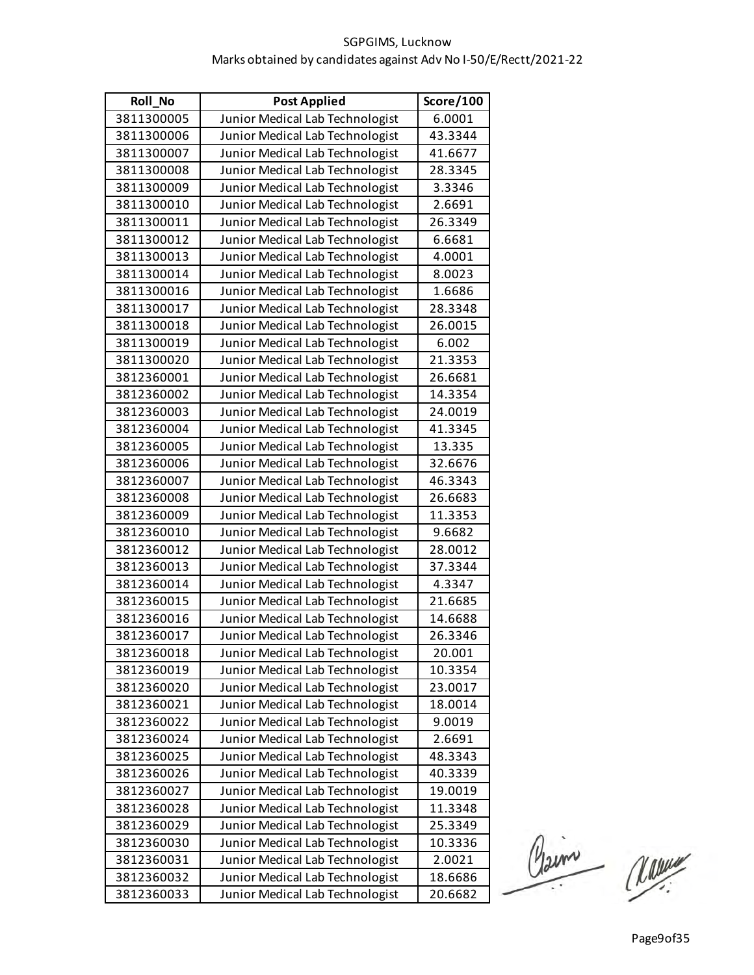| Roll_No    | <b>Post Applied</b>             | Score/100 |
|------------|---------------------------------|-----------|
| 3811300005 | Junior Medical Lab Technologist | 6.0001    |
| 3811300006 | Junior Medical Lab Technologist | 43.3344   |
| 3811300007 | Junior Medical Lab Technologist | 41.6677   |
| 3811300008 | Junior Medical Lab Technologist | 28.3345   |
| 3811300009 | Junior Medical Lab Technologist | 3.3346    |
| 3811300010 | Junior Medical Lab Technologist | 2.6691    |
| 3811300011 | Junior Medical Lab Technologist | 26.3349   |
| 3811300012 | Junior Medical Lab Technologist | 6.6681    |
| 3811300013 | Junior Medical Lab Technologist | 4.0001    |
| 3811300014 | Junior Medical Lab Technologist | 8.0023    |
| 3811300016 | Junior Medical Lab Technologist | 1.6686    |
| 3811300017 | Junior Medical Lab Technologist | 28.3348   |
| 3811300018 | Junior Medical Lab Technologist | 26.0015   |
| 3811300019 | Junior Medical Lab Technologist | 6.002     |
| 3811300020 | Junior Medical Lab Technologist | 21.3353   |
| 3812360001 | Junior Medical Lab Technologist | 26.6681   |
| 3812360002 | Junior Medical Lab Technologist | 14.3354   |
| 3812360003 | Junior Medical Lab Technologist | 24.0019   |
| 3812360004 | Junior Medical Lab Technologist | 41.3345   |
| 3812360005 | Junior Medical Lab Technologist | 13.335    |
| 3812360006 | Junior Medical Lab Technologist | 32.6676   |
| 3812360007 | Junior Medical Lab Technologist | 46.3343   |
| 3812360008 | Junior Medical Lab Technologist | 26.6683   |
| 3812360009 | Junior Medical Lab Technologist | 11.3353   |
| 3812360010 | Junior Medical Lab Technologist | 9.6682    |
| 3812360012 | Junior Medical Lab Technologist | 28.0012   |
| 3812360013 | Junior Medical Lab Technologist | 37.3344   |
| 3812360014 | Junior Medical Lab Technologist | 4.3347    |
| 3812360015 | Junior Medical Lab Technologist | 21.6685   |
| 3812360016 | Junior Medical Lab Technologist | 14.6688   |
| 3812360017 | Junior Medical Lab Technologist | 26.3346   |
| 3812360018 | Junior Medical Lab Technologist | 20.001    |
| 3812360019 | Junior Medical Lab Technologist | 10.3354   |
| 3812360020 | Junior Medical Lab Technologist | 23.0017   |
| 3812360021 | Junior Medical Lab Technologist | 18.0014   |
| 3812360022 | Junior Medical Lab Technologist | 9.0019    |
| 3812360024 | Junior Medical Lab Technologist | 2.6691    |
| 3812360025 | Junior Medical Lab Technologist | 48.3343   |
| 3812360026 | Junior Medical Lab Technologist | 40.3339   |
| 3812360027 | Junior Medical Lab Technologist | 19.0019   |
| 3812360028 | Junior Medical Lab Technologist | 11.3348   |
| 3812360029 | Junior Medical Lab Technologist | 25.3349   |
| 3812360030 | Junior Medical Lab Technologist | 10.3336   |
| 3812360031 | Junior Medical Lab Technologist | 2.0021    |
| 3812360032 | Junior Medical Lab Technologist | 18.6686   |
| 3812360033 | Junior Medical Lab Technologist | 20.6682   |

Claim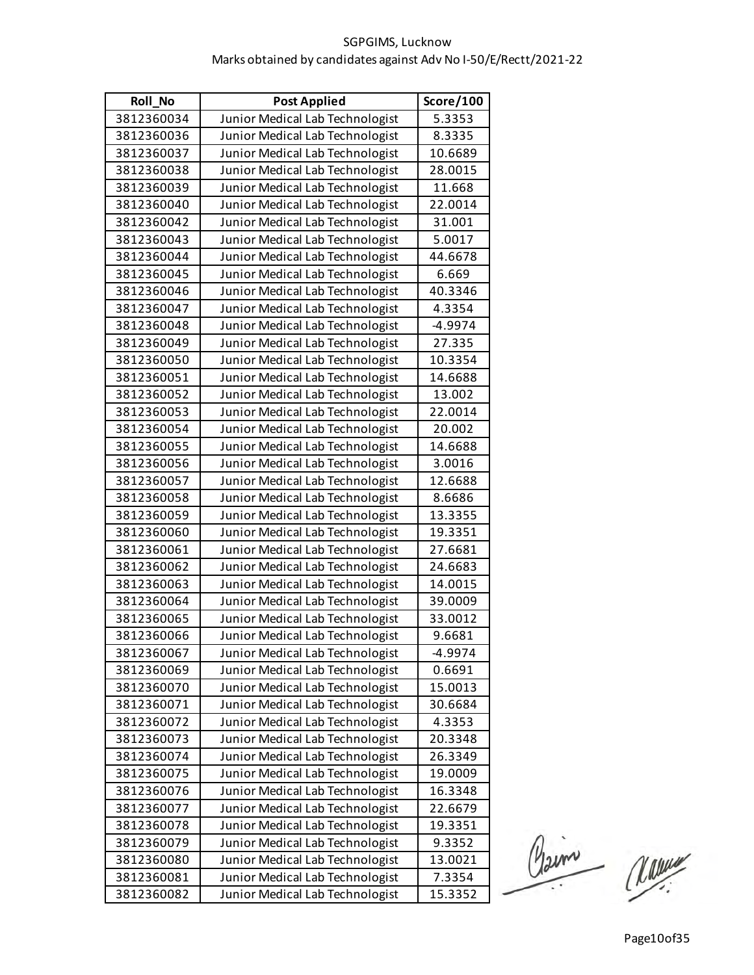| <b>Roll No</b> | <b>Post Applied</b>             | Score/100 |
|----------------|---------------------------------|-----------|
| 3812360034     | Junior Medical Lab Technologist | 5.3353    |
| 3812360036     | Junior Medical Lab Technologist | 8.3335    |
| 3812360037     | Junior Medical Lab Technologist | 10.6689   |
| 3812360038     | Junior Medical Lab Technologist | 28.0015   |
| 3812360039     | Junior Medical Lab Technologist | 11.668    |
| 3812360040     | Junior Medical Lab Technologist | 22.0014   |
| 3812360042     | Junior Medical Lab Technologist | 31.001    |
| 3812360043     | Junior Medical Lab Technologist | 5.0017    |
| 3812360044     | Junior Medical Lab Technologist | 44.6678   |
| 3812360045     | Junior Medical Lab Technologist | 6.669     |
| 3812360046     | Junior Medical Lab Technologist | 40.3346   |
| 3812360047     | Junior Medical Lab Technologist | 4.3354    |
| 3812360048     | Junior Medical Lab Technologist | $-4.9974$ |
| 3812360049     | Junior Medical Lab Technologist | 27.335    |
| 3812360050     | Junior Medical Lab Technologist | 10.3354   |
| 3812360051     | Junior Medical Lab Technologist | 14.6688   |
| 3812360052     | Junior Medical Lab Technologist | 13.002    |
| 3812360053     | Junior Medical Lab Technologist | 22.0014   |
| 3812360054     | Junior Medical Lab Technologist | 20.002    |
| 3812360055     | Junior Medical Lab Technologist | 14.6688   |
| 3812360056     | Junior Medical Lab Technologist | 3.0016    |
| 3812360057     | Junior Medical Lab Technologist | 12.6688   |
| 3812360058     | Junior Medical Lab Technologist | 8.6686    |
| 3812360059     | Junior Medical Lab Technologist | 13.3355   |
| 3812360060     | Junior Medical Lab Technologist | 19.3351   |
| 3812360061     | Junior Medical Lab Technologist | 27.6681   |
| 3812360062     | Junior Medical Lab Technologist | 24.6683   |
| 3812360063     | Junior Medical Lab Technologist | 14.0015   |
| 3812360064     | Junior Medical Lab Technologist | 39.0009   |
| 3812360065     | Junior Medical Lab Technologist | 33.0012   |
| 3812360066     | Junior Medical Lab Technologist | 9.6681    |
| 3812360067     | Junior Medical Lab Technologist | $-4.9974$ |
| 3812360069     | Junior Medical Lab Technologist | 0.6691    |
| 3812360070     | Junior Medical Lab Technologist | 15.0013   |
| 3812360071     | Junior Medical Lab Technologist | 30.6684   |
| 3812360072     | Junior Medical Lab Technologist | 4.3353    |
| 3812360073     | Junior Medical Lab Technologist | 20.3348   |
| 3812360074     | Junior Medical Lab Technologist | 26.3349   |
| 3812360075     | Junior Medical Lab Technologist | 19.0009   |
| 3812360076     | Junior Medical Lab Technologist | 16.3348   |
| 3812360077     | Junior Medical Lab Technologist | 22.6679   |
| 3812360078     | Junior Medical Lab Technologist | 19.3351   |
| 3812360079     | Junior Medical Lab Technologist | 9.3352    |
| 3812360080     | Junior Medical Lab Technologist | 13.0021   |
| 3812360081     | Junior Medical Lab Technologist | 7.3354    |
| 3812360082     | Junior Medical Lab Technologist | 15.3352   |

Claim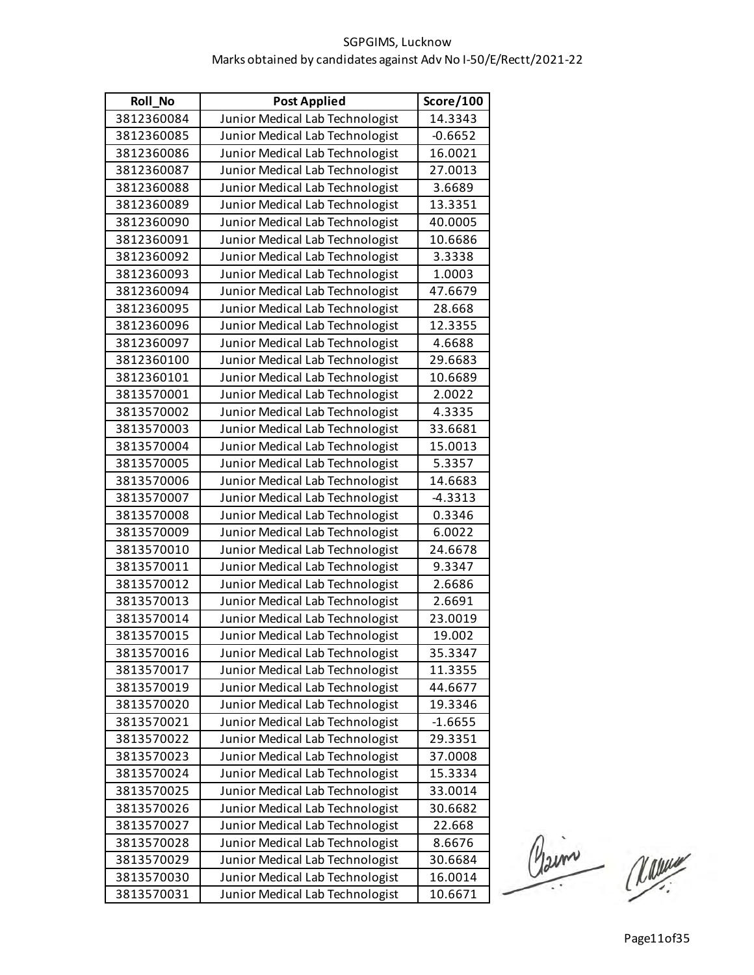| Roll_No    | <b>Post Applied</b>             | Score/100 |
|------------|---------------------------------|-----------|
| 3812360084 | Junior Medical Lab Technologist | 14.3343   |
| 3812360085 | Junior Medical Lab Technologist | $-0.6652$ |
| 3812360086 | Junior Medical Lab Technologist | 16.0021   |
| 3812360087 | Junior Medical Lab Technologist | 27.0013   |
| 3812360088 | Junior Medical Lab Technologist | 3.6689    |
| 3812360089 | Junior Medical Lab Technologist | 13.3351   |
| 3812360090 | Junior Medical Lab Technologist | 40.0005   |
| 3812360091 | Junior Medical Lab Technologist | 10.6686   |
| 3812360092 | Junior Medical Lab Technologist | 3.3338    |
| 3812360093 | Junior Medical Lab Technologist | 1.0003    |
| 3812360094 | Junior Medical Lab Technologist | 47.6679   |
| 3812360095 | Junior Medical Lab Technologist | 28.668    |
| 3812360096 | Junior Medical Lab Technologist | 12.3355   |
| 3812360097 | Junior Medical Lab Technologist | 4.6688    |
| 3812360100 | Junior Medical Lab Technologist | 29.6683   |
| 3812360101 | Junior Medical Lab Technologist | 10.6689   |
| 3813570001 | Junior Medical Lab Technologist | 2.0022    |
| 3813570002 | Junior Medical Lab Technologist | 4.3335    |
| 3813570003 | Junior Medical Lab Technologist | 33.6681   |
| 3813570004 | Junior Medical Lab Technologist | 15.0013   |
| 3813570005 | Junior Medical Lab Technologist | 5.3357    |
| 3813570006 | Junior Medical Lab Technologist | 14.6683   |
| 3813570007 | Junior Medical Lab Technologist | $-4.3313$ |
| 3813570008 | Junior Medical Lab Technologist | 0.3346    |
| 3813570009 | Junior Medical Lab Technologist | 6.0022    |
| 3813570010 | Junior Medical Lab Technologist | 24.6678   |
| 3813570011 | Junior Medical Lab Technologist | 9.3347    |
| 3813570012 | Junior Medical Lab Technologist | 2.6686    |
| 3813570013 | Junior Medical Lab Technologist | 2.6691    |
| 3813570014 | Junior Medical Lab Technologist | 23.0019   |
| 3813570015 | Junior Medical Lab Technologist | 19.002    |
| 3813570016 | Junior Medical Lab Technologist | 35.3347   |
| 3813570017 | Junior Medical Lab Technologist | 11.3355   |
| 3813570019 | Junior Medical Lab Technologist | 44.6677   |
| 3813570020 | Junior Medical Lab Technologist | 19.3346   |
| 3813570021 | Junior Medical Lab Technologist | $-1.6655$ |
| 3813570022 | Junior Medical Lab Technologist | 29.3351   |
| 3813570023 | Junior Medical Lab Technologist | 37.0008   |
| 3813570024 | Junior Medical Lab Technologist | 15.3334   |
| 3813570025 | Junior Medical Lab Technologist | 33.0014   |
| 3813570026 | Junior Medical Lab Technologist | 30.6682   |
| 3813570027 | Junior Medical Lab Technologist | 22.668    |
| 3813570028 | Junior Medical Lab Technologist | 8.6676    |
| 3813570029 | Junior Medical Lab Technologist | 30.6684   |
| 3813570030 | Junior Medical Lab Technologist | 16.0014   |
| 3813570031 | Junior Medical Lab Technologist | 10.6671   |

Claime Manuel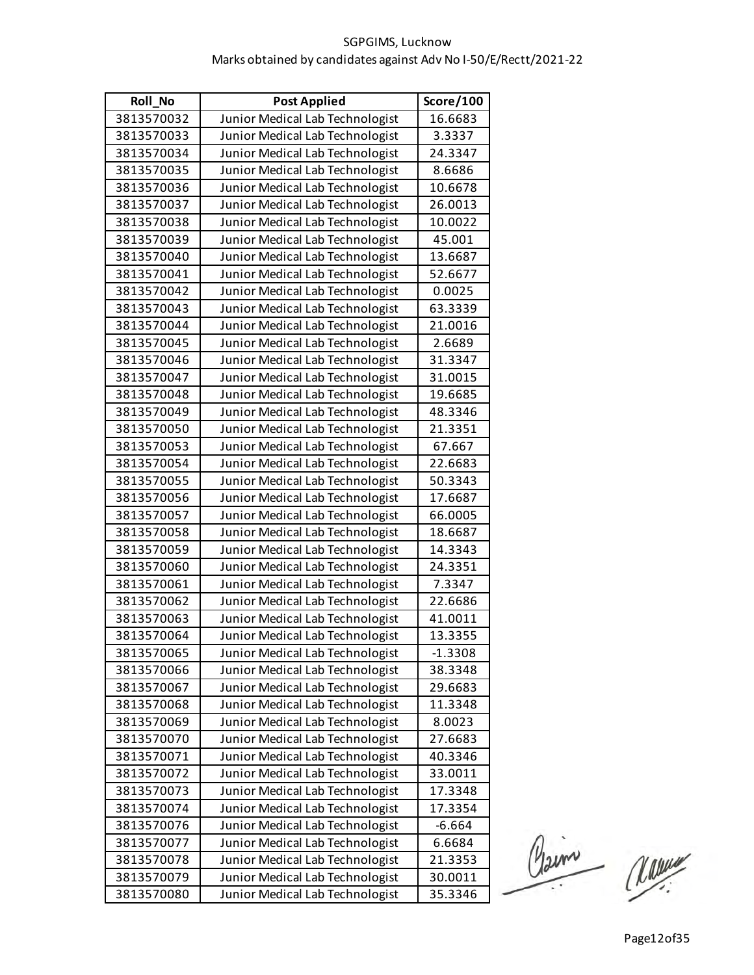| <b>Roll No</b> | <b>Post Applied</b>             | Score/100 |
|----------------|---------------------------------|-----------|
| 3813570032     | Junior Medical Lab Technologist | 16.6683   |
| 3813570033     | Junior Medical Lab Technologist | 3.3337    |
| 3813570034     | Junior Medical Lab Technologist | 24.3347   |
| 3813570035     | Junior Medical Lab Technologist | 8.6686    |
| 3813570036     | Junior Medical Lab Technologist | 10.6678   |
| 3813570037     | Junior Medical Lab Technologist | 26.0013   |
| 3813570038     | Junior Medical Lab Technologist | 10.0022   |
| 3813570039     | Junior Medical Lab Technologist | 45.001    |
| 3813570040     | Junior Medical Lab Technologist | 13.6687   |
| 3813570041     | Junior Medical Lab Technologist | 52.6677   |
| 3813570042     | Junior Medical Lab Technologist | 0.0025    |
| 3813570043     | Junior Medical Lab Technologist | 63.3339   |
| 3813570044     | Junior Medical Lab Technologist | 21.0016   |
| 3813570045     | Junior Medical Lab Technologist | 2.6689    |
| 3813570046     | Junior Medical Lab Technologist | 31.3347   |
| 3813570047     | Junior Medical Lab Technologist | 31.0015   |
| 3813570048     | Junior Medical Lab Technologist | 19.6685   |
| 3813570049     | Junior Medical Lab Technologist | 48.3346   |
| 3813570050     | Junior Medical Lab Technologist | 21.3351   |
| 3813570053     | Junior Medical Lab Technologist | 67.667    |
| 3813570054     | Junior Medical Lab Technologist | 22.6683   |
| 3813570055     | Junior Medical Lab Technologist | 50.3343   |
| 3813570056     | Junior Medical Lab Technologist | 17.6687   |
| 3813570057     | Junior Medical Lab Technologist | 66.0005   |
| 3813570058     | Junior Medical Lab Technologist | 18.6687   |
| 3813570059     | Junior Medical Lab Technologist | 14.3343   |
| 3813570060     | Junior Medical Lab Technologist | 24.3351   |
| 3813570061     | Junior Medical Lab Technologist | 7.3347    |
| 3813570062     | Junior Medical Lab Technologist | 22.6686   |
| 3813570063     | Junior Medical Lab Technologist | 41.0011   |
| 3813570064     | Junior Medical Lab Technologist | 13.3355   |
| 3813570065     | Junior Medical Lab Technologist | $-1.3308$ |
| 3813570066     | Junior Medical Lab Technologist | 38.3348   |
| 3813570067     | Junior Medical Lab Technologist | 29.6683   |
| 3813570068     | Junior Medical Lab Technologist | 11.3348   |
| 3813570069     | Junior Medical Lab Technologist | 8.0023    |
| 3813570070     | Junior Medical Lab Technologist | 27.6683   |
| 3813570071     | Junior Medical Lab Technologist | 40.3346   |
| 3813570072     | Junior Medical Lab Technologist | 33.0011   |
| 3813570073     | Junior Medical Lab Technologist | 17.3348   |
| 3813570074     | Junior Medical Lab Technologist | 17.3354   |
| 3813570076     | Junior Medical Lab Technologist | $-6.664$  |
| 3813570077     | Junior Medical Lab Technologist | 6.6684    |
| 3813570078     | Junior Medical Lab Technologist | 21.3353   |
| 3813570079     | Junior Medical Lab Technologist | 30.0011   |
| 3813570080     | Junior Medical Lab Technologist | 35.3346   |

Claim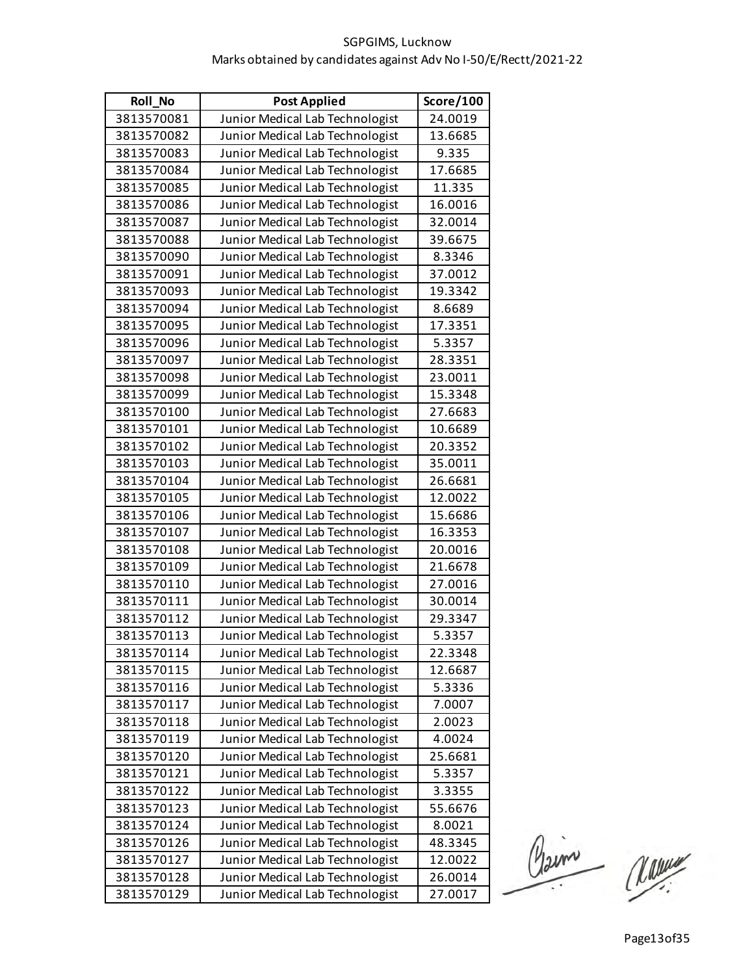| Roll_No    | <b>Post Applied</b>             | Score/100 |
|------------|---------------------------------|-----------|
| 3813570081 | Junior Medical Lab Technologist | 24.0019   |
| 3813570082 | Junior Medical Lab Technologist | 13.6685   |
| 3813570083 | Junior Medical Lab Technologist | 9.335     |
| 3813570084 | Junior Medical Lab Technologist | 17.6685   |
| 3813570085 | Junior Medical Lab Technologist | 11.335    |
| 3813570086 | Junior Medical Lab Technologist | 16.0016   |
| 3813570087 | Junior Medical Lab Technologist | 32.0014   |
| 3813570088 | Junior Medical Lab Technologist | 39.6675   |
| 3813570090 | Junior Medical Lab Technologist | 8.3346    |
| 3813570091 | Junior Medical Lab Technologist | 37.0012   |
| 3813570093 | Junior Medical Lab Technologist | 19.3342   |
| 3813570094 | Junior Medical Lab Technologist | 8.6689    |
| 3813570095 | Junior Medical Lab Technologist | 17.3351   |
| 3813570096 | Junior Medical Lab Technologist | 5.3357    |
| 3813570097 | Junior Medical Lab Technologist | 28.3351   |
| 3813570098 | Junior Medical Lab Technologist | 23.0011   |
| 3813570099 | Junior Medical Lab Technologist | 15.3348   |
| 3813570100 | Junior Medical Lab Technologist | 27.6683   |
| 3813570101 | Junior Medical Lab Technologist | 10.6689   |
| 3813570102 | Junior Medical Lab Technologist | 20.3352   |
| 3813570103 | Junior Medical Lab Technologist | 35.0011   |
| 3813570104 | Junior Medical Lab Technologist | 26.6681   |
| 3813570105 | Junior Medical Lab Technologist | 12.0022   |
| 3813570106 | Junior Medical Lab Technologist | 15.6686   |
| 3813570107 | Junior Medical Lab Technologist | 16.3353   |
| 3813570108 | Junior Medical Lab Technologist | 20.0016   |
| 3813570109 | Junior Medical Lab Technologist | 21.6678   |
| 3813570110 | Junior Medical Lab Technologist | 27.0016   |
| 3813570111 | Junior Medical Lab Technologist | 30.0014   |
| 3813570112 | Junior Medical Lab Technologist | 29.3347   |
| 3813570113 | Junior Medical Lab Technologist | 5.3357    |
| 3813570114 | Junior Medical Lab Technologist | 22.3348   |
| 3813570115 | Junior Medical Lab Technologist | 12.6687   |
| 3813570116 | Junior Medical Lab Technologist | 5.3336    |
| 3813570117 | Junior Medical Lab Technologist | 7.0007    |
| 3813570118 | Junior Medical Lab Technologist | 2.0023    |
| 3813570119 | Junior Medical Lab Technologist | 4.0024    |
| 3813570120 | Junior Medical Lab Technologist | 25.6681   |
| 3813570121 | Junior Medical Lab Technologist | 5.3357    |
| 3813570122 | Junior Medical Lab Technologist | 3.3355    |
| 3813570123 | Junior Medical Lab Technologist | 55.6676   |
| 3813570124 | Junior Medical Lab Technologist | 8.0021    |
| 3813570126 | Junior Medical Lab Technologist | 48.3345   |
| 3813570127 | Junior Medical Lab Technologist | 12.0022   |
| 3813570128 | Junior Medical Lab Technologist | 26.0014   |
| 3813570129 | Junior Medical Lab Technologist | 27.0017   |

Claim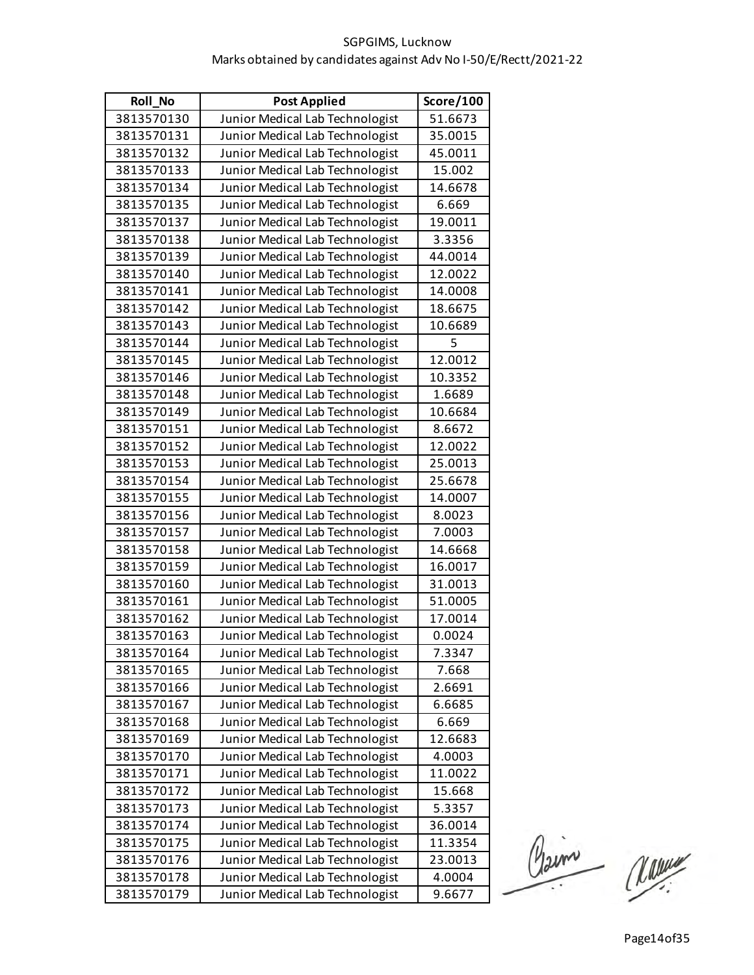| Roll_No    | <b>Post Applied</b>             | Score/100 |
|------------|---------------------------------|-----------|
| 3813570130 | Junior Medical Lab Technologist | 51.6673   |
| 3813570131 | Junior Medical Lab Technologist | 35.0015   |
| 3813570132 | Junior Medical Lab Technologist | 45.0011   |
| 3813570133 | Junior Medical Lab Technologist | 15.002    |
| 3813570134 | Junior Medical Lab Technologist | 14.6678   |
| 3813570135 | Junior Medical Lab Technologist | 6.669     |
| 3813570137 | Junior Medical Lab Technologist | 19.0011   |
| 3813570138 | Junior Medical Lab Technologist | 3.3356    |
| 3813570139 | Junior Medical Lab Technologist | 44.0014   |
| 3813570140 | Junior Medical Lab Technologist | 12.0022   |
| 3813570141 | Junior Medical Lab Technologist | 14.0008   |
| 3813570142 | Junior Medical Lab Technologist | 18.6675   |
| 3813570143 | Junior Medical Lab Technologist | 10.6689   |
| 3813570144 | Junior Medical Lab Technologist | 5         |
| 3813570145 | Junior Medical Lab Technologist | 12.0012   |
| 3813570146 | Junior Medical Lab Technologist | 10.3352   |
| 3813570148 | Junior Medical Lab Technologist | 1.6689    |
| 3813570149 | Junior Medical Lab Technologist | 10.6684   |
| 3813570151 | Junior Medical Lab Technologist | 8.6672    |
| 3813570152 | Junior Medical Lab Technologist | 12.0022   |
| 3813570153 | Junior Medical Lab Technologist | 25.0013   |
| 3813570154 | Junior Medical Lab Technologist | 25.6678   |
| 3813570155 | Junior Medical Lab Technologist | 14.0007   |
| 3813570156 | Junior Medical Lab Technologist | 8.0023    |
| 3813570157 | Junior Medical Lab Technologist | 7.0003    |
| 3813570158 | Junior Medical Lab Technologist | 14.6668   |
| 3813570159 | Junior Medical Lab Technologist | 16.0017   |
| 3813570160 | Junior Medical Lab Technologist | 31.0013   |
| 3813570161 | Junior Medical Lab Technologist | 51.0005   |
| 3813570162 | Junior Medical Lab Technologist | 17.0014   |
| 3813570163 | Junior Medical Lab Technologist | 0.0024    |
| 3813570164 | Junior Medical Lab Technologist | 7.3347    |
| 3813570165 | Junior Medical Lab Technologist | 7.668     |
| 3813570166 | Junior Medical Lab Technologist | 2.6691    |
| 3813570167 | Junior Medical Lab Technologist | 6.6685    |
| 3813570168 | Junior Medical Lab Technologist | 6.669     |
| 3813570169 | Junior Medical Lab Technologist | 12.6683   |
| 3813570170 | Junior Medical Lab Technologist | 4.0003    |
| 3813570171 | Junior Medical Lab Technologist | 11.0022   |
| 3813570172 | Junior Medical Lab Technologist | 15.668    |
| 3813570173 | Junior Medical Lab Technologist | 5.3357    |
| 3813570174 | Junior Medical Lab Technologist | 36.0014   |
| 3813570175 | Junior Medical Lab Technologist | 11.3354   |
| 3813570176 | Junior Medical Lab Technologist | 23.0013   |
| 3813570178 | Junior Medical Lab Technologist | 4.0004    |
| 3813570179 | Junior Medical Lab Technologist | 9.6677    |

Claim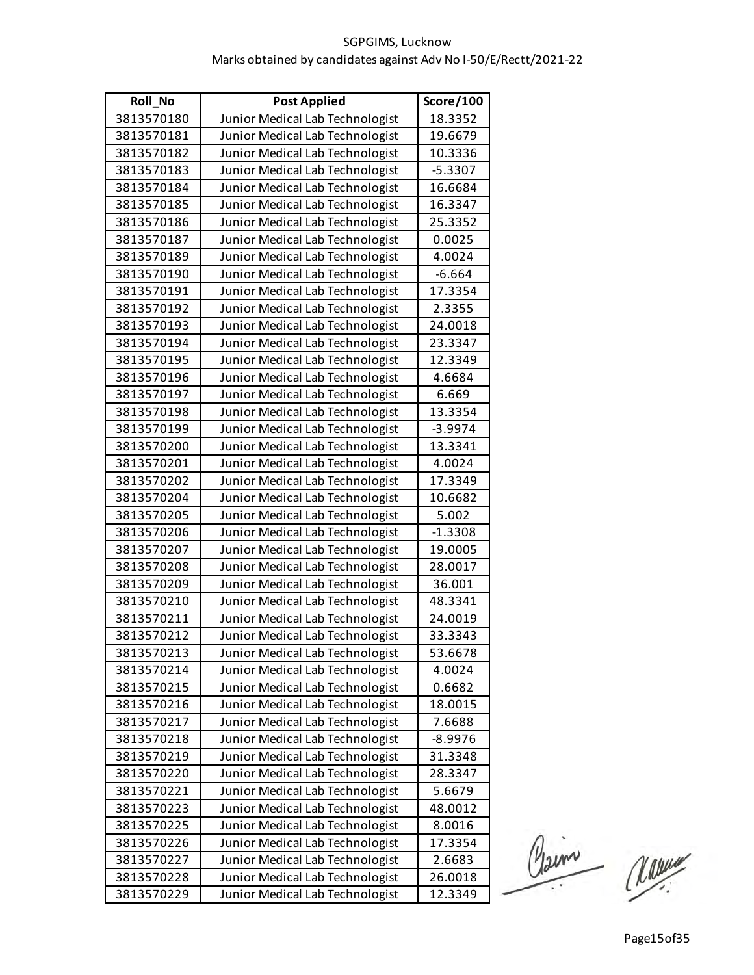| Roll_No    | <b>Post Applied</b>             | Score/100 |
|------------|---------------------------------|-----------|
| 3813570180 | Junior Medical Lab Technologist | 18.3352   |
| 3813570181 | Junior Medical Lab Technologist | 19.6679   |
| 3813570182 | Junior Medical Lab Technologist | 10.3336   |
| 3813570183 | Junior Medical Lab Technologist | $-5.3307$ |
| 3813570184 | Junior Medical Lab Technologist | 16.6684   |
| 3813570185 | Junior Medical Lab Technologist | 16.3347   |
| 3813570186 | Junior Medical Lab Technologist | 25.3352   |
| 3813570187 | Junior Medical Lab Technologist | 0.0025    |
| 3813570189 | Junior Medical Lab Technologist | 4.0024    |
| 3813570190 | Junior Medical Lab Technologist | $-6.664$  |
| 3813570191 | Junior Medical Lab Technologist | 17.3354   |
| 3813570192 | Junior Medical Lab Technologist | 2.3355    |
| 3813570193 | Junior Medical Lab Technologist | 24.0018   |
| 3813570194 | Junior Medical Lab Technologist | 23.3347   |
| 3813570195 | Junior Medical Lab Technologist | 12.3349   |
| 3813570196 | Junior Medical Lab Technologist | 4.6684    |
| 3813570197 | Junior Medical Lab Technologist | 6.669     |
| 3813570198 | Junior Medical Lab Technologist | 13.3354   |
| 3813570199 | Junior Medical Lab Technologist | $-3.9974$ |
| 3813570200 | Junior Medical Lab Technologist | 13.3341   |
| 3813570201 | Junior Medical Lab Technologist | 4.0024    |
| 3813570202 | Junior Medical Lab Technologist | 17.3349   |
| 3813570204 | Junior Medical Lab Technologist | 10.6682   |
| 3813570205 | Junior Medical Lab Technologist | 5.002     |
| 3813570206 | Junior Medical Lab Technologist | $-1.3308$ |
| 3813570207 | Junior Medical Lab Technologist | 19.0005   |
| 3813570208 | Junior Medical Lab Technologist | 28.0017   |
| 3813570209 | Junior Medical Lab Technologist | 36.001    |
| 3813570210 | Junior Medical Lab Technologist | 48.3341   |
| 3813570211 | Junior Medical Lab Technologist | 24.0019   |
| 3813570212 | Junior Medical Lab Technologist | 33.3343   |
| 3813570213 | Junior Medical Lab Technologist | 53.6678   |
| 3813570214 | Junior Medical Lab Technologist | 4.0024    |
| 3813570215 | Junior Medical Lab Technologist | 0.6682    |
| 3813570216 | Junior Medical Lab Technologist | 18.0015   |
| 3813570217 | Junior Medical Lab Technologist | 7.6688    |
| 3813570218 | Junior Medical Lab Technologist | $-8.9976$ |
| 3813570219 | Junior Medical Lab Technologist | 31.3348   |
| 3813570220 | Junior Medical Lab Technologist | 28.3347   |
| 3813570221 | Junior Medical Lab Technologist | 5.6679    |
| 3813570223 | Junior Medical Lab Technologist | 48.0012   |
| 3813570225 | Junior Medical Lab Technologist | 8.0016    |
| 3813570226 | Junior Medical Lab Technologist | 17.3354   |
| 3813570227 | Junior Medical Lab Technologist | 2.6683    |
| 3813570228 | Junior Medical Lab Technologist | 26.0018   |
| 3813570229 | Junior Medical Lab Technologist | 12.3349   |

Claim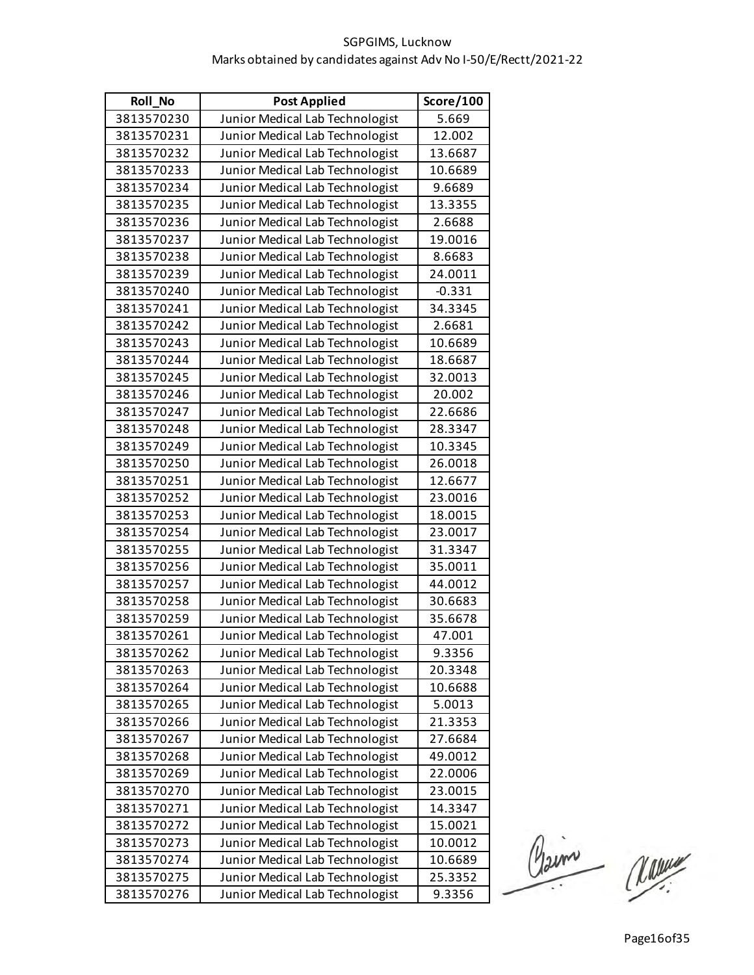| <b>Roll No</b> | <b>Post Applied</b>             | Score/100 |
|----------------|---------------------------------|-----------|
| 3813570230     | Junior Medical Lab Technologist | 5.669     |
| 3813570231     | Junior Medical Lab Technologist | 12.002    |
| 3813570232     | Junior Medical Lab Technologist | 13.6687   |
| 3813570233     | Junior Medical Lab Technologist | 10.6689   |
| 3813570234     | Junior Medical Lab Technologist | 9.6689    |
| 3813570235     | Junior Medical Lab Technologist | 13.3355   |
| 3813570236     | Junior Medical Lab Technologist | 2.6688    |
| 3813570237     | Junior Medical Lab Technologist | 19.0016   |
| 3813570238     | Junior Medical Lab Technologist | 8.6683    |
| 3813570239     | Junior Medical Lab Technologist | 24.0011   |
| 3813570240     | Junior Medical Lab Technologist | $-0.331$  |
| 3813570241     | Junior Medical Lab Technologist | 34.3345   |
| 3813570242     | Junior Medical Lab Technologist | 2.6681    |
| 3813570243     | Junior Medical Lab Technologist | 10.6689   |
| 3813570244     | Junior Medical Lab Technologist | 18.6687   |
| 3813570245     | Junior Medical Lab Technologist | 32.0013   |
| 3813570246     | Junior Medical Lab Technologist | 20.002    |
| 3813570247     | Junior Medical Lab Technologist | 22.6686   |
| 3813570248     | Junior Medical Lab Technologist | 28.3347   |
| 3813570249     | Junior Medical Lab Technologist | 10.3345   |
| 3813570250     | Junior Medical Lab Technologist | 26.0018   |
| 3813570251     | Junior Medical Lab Technologist | 12.6677   |
| 3813570252     | Junior Medical Lab Technologist | 23.0016   |
| 3813570253     | Junior Medical Lab Technologist | 18.0015   |
| 3813570254     | Junior Medical Lab Technologist | 23.0017   |
| 3813570255     | Junior Medical Lab Technologist | 31.3347   |
| 3813570256     | Junior Medical Lab Technologist | 35.0011   |
| 3813570257     | Junior Medical Lab Technologist | 44.0012   |
| 3813570258     | Junior Medical Lab Technologist | 30.6683   |
| 3813570259     | Junior Medical Lab Technologist | 35.6678   |
| 3813570261     | Junior Medical Lab Technologist | 47.001    |
| 3813570262     | Junior Medical Lab Technologist | 9.3356    |
| 3813570263     | Junior Medical Lab Technologist | 20.3348   |
| 3813570264     | Junior Medical Lab Technologist | 10.6688   |
| 3813570265     | Junior Medical Lab Technologist | 5.0013    |
| 3813570266     | Junior Medical Lab Technologist | 21.3353   |
| 3813570267     | Junior Medical Lab Technologist | 27.6684   |
| 3813570268     | Junior Medical Lab Technologist | 49.0012   |
| 3813570269     | Junior Medical Lab Technologist | 22.0006   |
| 3813570270     | Junior Medical Lab Technologist | 23.0015   |
| 3813570271     | Junior Medical Lab Technologist | 14.3347   |
| 3813570272     | Junior Medical Lab Technologist | 15.0021   |
| 3813570273     | Junior Medical Lab Technologist | 10.0012   |
| 3813570274     | Junior Medical Lab Technologist | 10.6689   |
| 3813570275     | Junior Medical Lab Technologist | 25.3352   |
| 3813570276     | Junior Medical Lab Technologist | 9.3356    |

Claim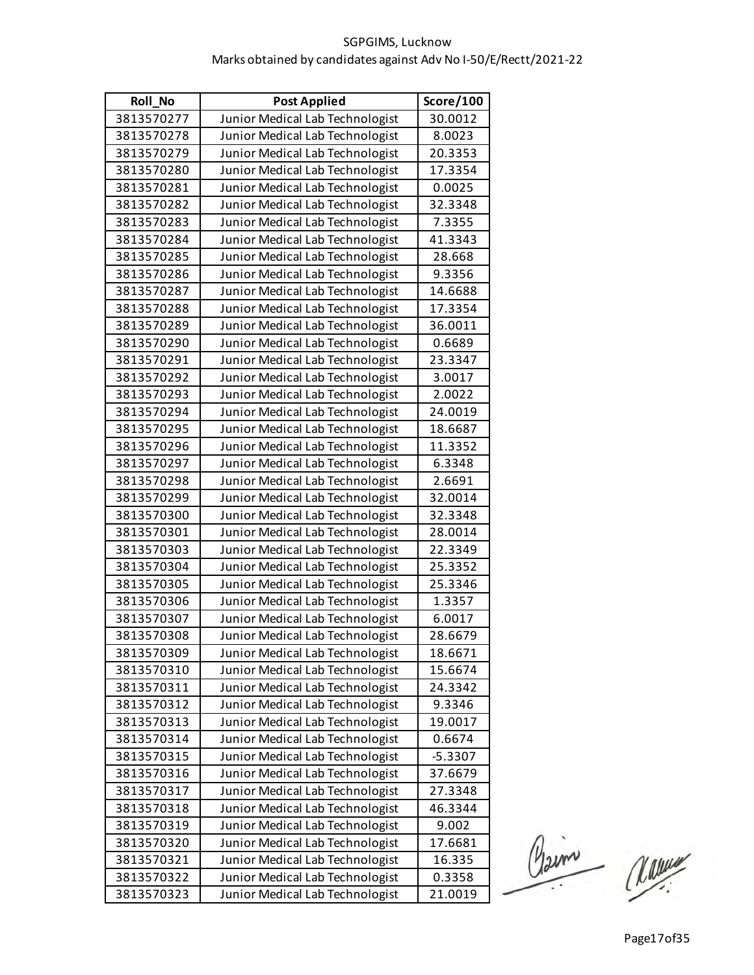| <b>Roll No</b> | <b>Post Applied</b>             | Score/100 |
|----------------|---------------------------------|-----------|
| 3813570277     | Junior Medical Lab Technologist | 30.0012   |
| 3813570278     | Junior Medical Lab Technologist | 8.0023    |
| 3813570279     | Junior Medical Lab Technologist | 20.3353   |
| 3813570280     | Junior Medical Lab Technologist | 17.3354   |
| 3813570281     | Junior Medical Lab Technologist | 0.0025    |
| 3813570282     | Junior Medical Lab Technologist | 32.3348   |
| 3813570283     | Junior Medical Lab Technologist | 7.3355    |
| 3813570284     | Junior Medical Lab Technologist | 41.3343   |
| 3813570285     | Junior Medical Lab Technologist | 28.668    |
| 3813570286     | Junior Medical Lab Technologist | 9.3356    |
| 3813570287     | Junior Medical Lab Technologist | 14.6688   |
| 3813570288     | Junior Medical Lab Technologist | 17.3354   |
| 3813570289     | Junior Medical Lab Technologist | 36.0011   |
| 3813570290     | Junior Medical Lab Technologist | 0.6689    |
| 3813570291     | Junior Medical Lab Technologist | 23.3347   |
| 3813570292     | Junior Medical Lab Technologist | 3.0017    |
| 3813570293     | Junior Medical Lab Technologist | 2.0022    |
| 3813570294     | Junior Medical Lab Technologist | 24.0019   |
| 3813570295     | Junior Medical Lab Technologist | 18.6687   |
| 3813570296     | Junior Medical Lab Technologist | 11.3352   |
| 3813570297     | Junior Medical Lab Technologist | 6.3348    |
| 3813570298     | Junior Medical Lab Technologist | 2.6691    |
| 3813570299     | Junior Medical Lab Technologist | 32.0014   |
| 3813570300     | Junior Medical Lab Technologist | 32.3348   |
| 3813570301     | Junior Medical Lab Technologist | 28.0014   |
| 3813570303     | Junior Medical Lab Technologist | 22.3349   |
| 3813570304     | Junior Medical Lab Technologist | 25.3352   |
| 3813570305     | Junior Medical Lab Technologist | 25.3346   |
| 3813570306     | Junior Medical Lab Technologist | 1.3357    |
| 3813570307     | Junior Medical Lab Technologist | 6.0017    |
| 3813570308     | Junior Medical Lab Technologist | 28.6679   |
| 3813570309     | Junior Medical Lab Technologist | 18.6671   |
| 3813570310     | Junior Medical Lab Technologist | 15.6674   |
| 3813570311     | Junior Medical Lab Technologist | 24.3342   |
| 3813570312     | Junior Medical Lab Technologist | 9.3346    |
| 3813570313     | Junior Medical Lab Technologist | 19.0017   |
| 3813570314     | Junior Medical Lab Technologist | 0.6674    |
| 3813570315     | Junior Medical Lab Technologist | $-5.3307$ |
| 3813570316     | Junior Medical Lab Technologist | 37.6679   |
| 3813570317     | Junior Medical Lab Technologist | 27.3348   |
| 3813570318     | Junior Medical Lab Technologist | 46.3344   |
| 3813570319     | Junior Medical Lab Technologist | 9.002     |
| 3813570320     | Junior Medical Lab Technologist | 17.6681   |
| 3813570321     | Junior Medical Lab Technologist | 16.335    |
| 3813570322     | Junior Medical Lab Technologist | 0.3358    |
| 3813570323     | Junior Medical Lab Technologist | 21.0019   |

Claim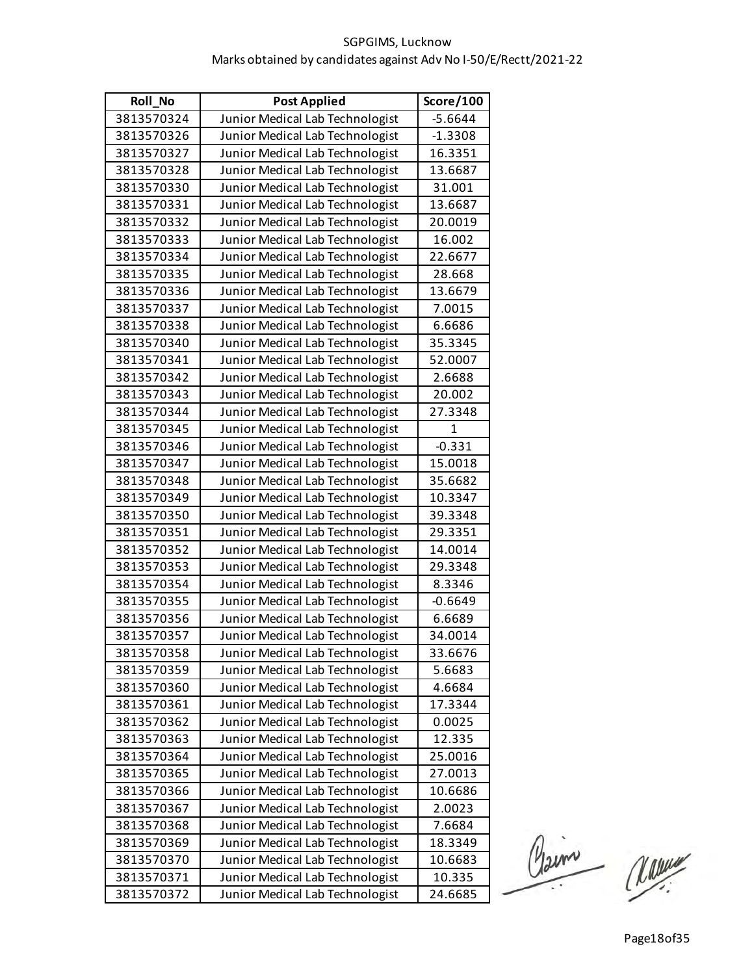| <b>Roll No</b> | <b>Post Applied</b>             | Score/100    |
|----------------|---------------------------------|--------------|
| 3813570324     | Junior Medical Lab Technologist | $-5.6644$    |
| 3813570326     | Junior Medical Lab Technologist | $-1.3308$    |
| 3813570327     | Junior Medical Lab Technologist | 16.3351      |
| 3813570328     | Junior Medical Lab Technologist | 13.6687      |
| 3813570330     | Junior Medical Lab Technologist | 31.001       |
| 3813570331     | Junior Medical Lab Technologist | 13.6687      |
| 3813570332     | Junior Medical Lab Technologist | 20.0019      |
| 3813570333     | Junior Medical Lab Technologist | 16.002       |
| 3813570334     | Junior Medical Lab Technologist | 22.6677      |
| 3813570335     | Junior Medical Lab Technologist | 28.668       |
| 3813570336     | Junior Medical Lab Technologist | 13.6679      |
| 3813570337     | Junior Medical Lab Technologist | 7.0015       |
| 3813570338     | Junior Medical Lab Technologist | 6.6686       |
| 3813570340     | Junior Medical Lab Technologist | 35.3345      |
| 3813570341     | Junior Medical Lab Technologist | 52.0007      |
| 3813570342     | Junior Medical Lab Technologist | 2.6688       |
| 3813570343     | Junior Medical Lab Technologist | 20.002       |
| 3813570344     | Junior Medical Lab Technologist | 27.3348      |
| 3813570345     | Junior Medical Lab Technologist | $\mathbf{1}$ |
| 3813570346     | Junior Medical Lab Technologist | $-0.331$     |
| 3813570347     | Junior Medical Lab Technologist | 15.0018      |
| 3813570348     | Junior Medical Lab Technologist | 35.6682      |
| 3813570349     | Junior Medical Lab Technologist | 10.3347      |
| 3813570350     | Junior Medical Lab Technologist | 39.3348      |
| 3813570351     | Junior Medical Lab Technologist | 29.3351      |
| 3813570352     | Junior Medical Lab Technologist | 14.0014      |
| 3813570353     | Junior Medical Lab Technologist | 29.3348      |
| 3813570354     | Junior Medical Lab Technologist | 8.3346       |
| 3813570355     | Junior Medical Lab Technologist | $-0.6649$    |
| 3813570356     | Junior Medical Lab Technologist | 6.6689       |
| 3813570357     | Junior Medical Lab Technologist | 34.0014      |
| 3813570358     | Junior Medical Lab Technologist | 33.6676      |
| 3813570359     | Junior Medical Lab Technologist | 5.6683       |
| 3813570360     | Junior Medical Lab Technologist | 4.6684       |
| 3813570361     | Junior Medical Lab Technologist | 17.3344      |
| 3813570362     | Junior Medical Lab Technologist | 0.0025       |
| 3813570363     | Junior Medical Lab Technologist | 12.335       |
| 3813570364     | Junior Medical Lab Technologist | 25.0016      |
| 3813570365     | Junior Medical Lab Technologist | 27.0013      |
| 3813570366     | Junior Medical Lab Technologist | 10.6686      |
| 3813570367     | Junior Medical Lab Technologist | 2.0023       |
| 3813570368     | Junior Medical Lab Technologist | 7.6684       |
| 3813570369     | Junior Medical Lab Technologist | 18.3349      |
| 3813570370     | Junior Medical Lab Technologist | 10.6683      |
| 3813570371     | Junior Medical Lab Technologist | 10.335       |
| 3813570372     | Junior Medical Lab Technologist | 24.6685      |

Claim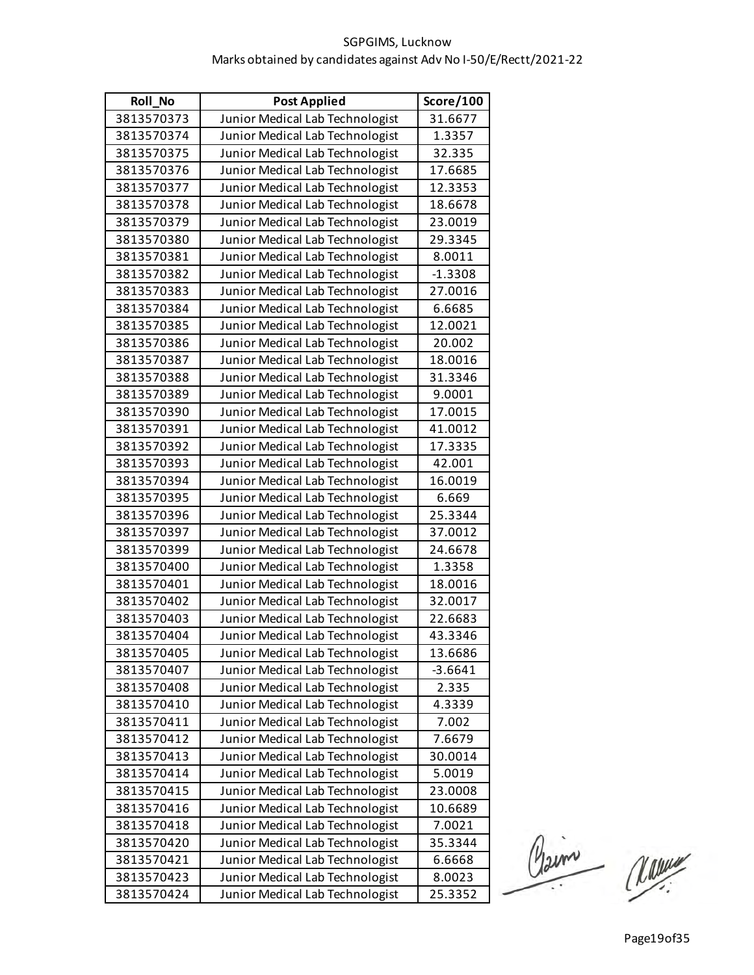| <b>Roll No</b> | <b>Post Applied</b>             | Score/100 |
|----------------|---------------------------------|-----------|
| 3813570373     | Junior Medical Lab Technologist | 31.6677   |
| 3813570374     | Junior Medical Lab Technologist | 1.3357    |
| 3813570375     | Junior Medical Lab Technologist | 32.335    |
| 3813570376     | Junior Medical Lab Technologist | 17.6685   |
| 3813570377     | Junior Medical Lab Technologist | 12.3353   |
| 3813570378     | Junior Medical Lab Technologist | 18.6678   |
| 3813570379     | Junior Medical Lab Technologist | 23.0019   |
| 3813570380     | Junior Medical Lab Technologist | 29.3345   |
| 3813570381     | Junior Medical Lab Technologist | 8.0011    |
| 3813570382     | Junior Medical Lab Technologist | $-1.3308$ |
| 3813570383     | Junior Medical Lab Technologist | 27.0016   |
| 3813570384     | Junior Medical Lab Technologist | 6.6685    |
| 3813570385     | Junior Medical Lab Technologist | 12.0021   |
| 3813570386     | Junior Medical Lab Technologist | 20.002    |
| 3813570387     | Junior Medical Lab Technologist | 18.0016   |
| 3813570388     | Junior Medical Lab Technologist | 31.3346   |
| 3813570389     | Junior Medical Lab Technologist | 9.0001    |
| 3813570390     | Junior Medical Lab Technologist | 17.0015   |
| 3813570391     | Junior Medical Lab Technologist | 41.0012   |
| 3813570392     | Junior Medical Lab Technologist | 17.3335   |
| 3813570393     | Junior Medical Lab Technologist | 42.001    |
| 3813570394     | Junior Medical Lab Technologist | 16.0019   |
| 3813570395     | Junior Medical Lab Technologist | 6.669     |
| 3813570396     | Junior Medical Lab Technologist | 25.3344   |
| 3813570397     | Junior Medical Lab Technologist | 37.0012   |
| 3813570399     | Junior Medical Lab Technologist | 24.6678   |
| 3813570400     | Junior Medical Lab Technologist | 1.3358    |
| 3813570401     | Junior Medical Lab Technologist | 18.0016   |
| 3813570402     | Junior Medical Lab Technologist | 32.0017   |
| 3813570403     | Junior Medical Lab Technologist | 22.6683   |
| 3813570404     | Junior Medical Lab Technologist | 43.3346   |
| 3813570405     | Junior Medical Lab Technologist | 13.6686   |
| 3813570407     | Junior Medical Lab Technologist | $-3.6641$ |
| 3813570408     | Junior Medical Lab Technologist | 2.335     |
| 3813570410     | Junior Medical Lab Technologist | 4.3339    |
| 3813570411     | Junior Medical Lab Technologist | 7.002     |
| 3813570412     | Junior Medical Lab Technologist | 7.6679    |
| 3813570413     | Junior Medical Lab Technologist | 30.0014   |
| 3813570414     | Junior Medical Lab Technologist | 5.0019    |
| 3813570415     | Junior Medical Lab Technologist | 23.0008   |
| 3813570416     | Junior Medical Lab Technologist | 10.6689   |
| 3813570418     | Junior Medical Lab Technologist | 7.0021    |
| 3813570420     | Junior Medical Lab Technologist | 35.3344   |
| 3813570421     | Junior Medical Lab Technologist | 6.6668    |
| 3813570423     | Junior Medical Lab Technologist | 8.0023    |
| 3813570424     | Junior Medical Lab Technologist | 25.3352   |

Claim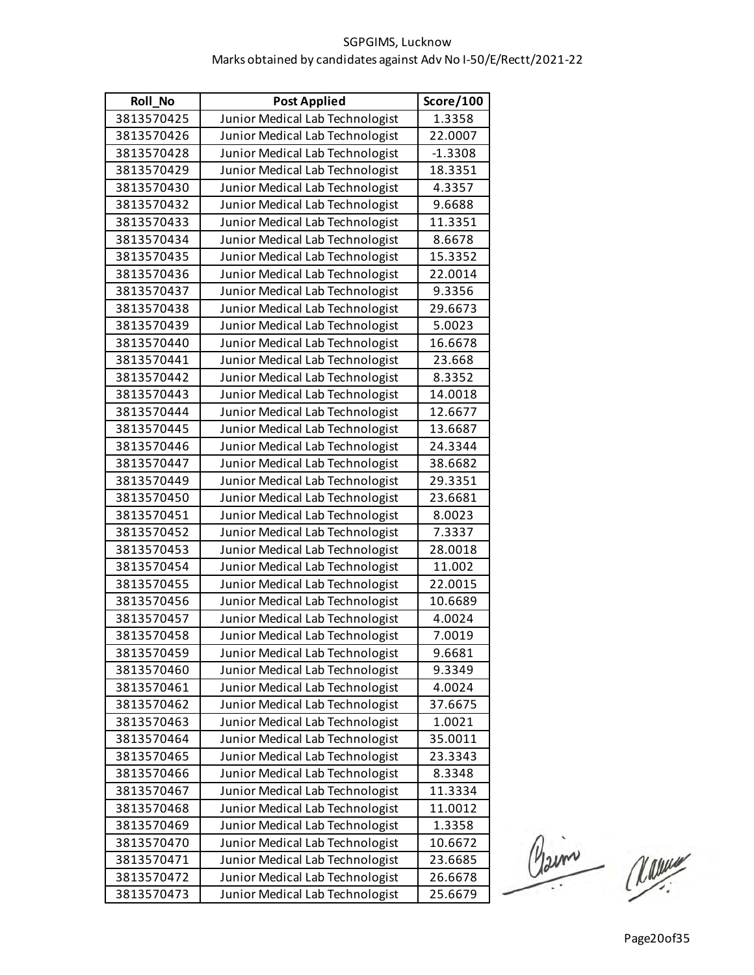| <b>Roll No</b> | <b>Post Applied</b>             | Score/100 |
|----------------|---------------------------------|-----------|
| 3813570425     | Junior Medical Lab Technologist | 1.3358    |
| 3813570426     | Junior Medical Lab Technologist | 22.0007   |
| 3813570428     | Junior Medical Lab Technologist | $-1.3308$ |
| 3813570429     | Junior Medical Lab Technologist | 18.3351   |
| 3813570430     | Junior Medical Lab Technologist | 4.3357    |
| 3813570432     | Junior Medical Lab Technologist | 9.6688    |
| 3813570433     | Junior Medical Lab Technologist | 11.3351   |
| 3813570434     | Junior Medical Lab Technologist | 8.6678    |
| 3813570435     | Junior Medical Lab Technologist | 15.3352   |
| 3813570436     | Junior Medical Lab Technologist | 22.0014   |
| 3813570437     | Junior Medical Lab Technologist | 9.3356    |
| 3813570438     | Junior Medical Lab Technologist | 29.6673   |
| 3813570439     | Junior Medical Lab Technologist | 5.0023    |
| 3813570440     | Junior Medical Lab Technologist | 16.6678   |
| 3813570441     | Junior Medical Lab Technologist | 23.668    |
| 3813570442     | Junior Medical Lab Technologist | 8.3352    |
| 3813570443     | Junior Medical Lab Technologist | 14.0018   |
| 3813570444     | Junior Medical Lab Technologist | 12.6677   |
| 3813570445     | Junior Medical Lab Technologist | 13.6687   |
| 3813570446     | Junior Medical Lab Technologist | 24.3344   |
| 3813570447     | Junior Medical Lab Technologist | 38.6682   |
| 3813570449     | Junior Medical Lab Technologist | 29.3351   |
| 3813570450     | Junior Medical Lab Technologist | 23.6681   |
| 3813570451     | Junior Medical Lab Technologist | 8.0023    |
| 3813570452     | Junior Medical Lab Technologist | 7.3337    |
| 3813570453     | Junior Medical Lab Technologist | 28.0018   |
| 3813570454     | Junior Medical Lab Technologist | 11.002    |
| 3813570455     | Junior Medical Lab Technologist | 22.0015   |
| 3813570456     | Junior Medical Lab Technologist | 10.6689   |
| 3813570457     | Junior Medical Lab Technologist | 4.0024    |
| 3813570458     | Junior Medical Lab Technologist | 7.0019    |
| 3813570459     | Junior Medical Lab Technologist | 9.6681    |
| 3813570460     | Junior Medical Lab Technologist | 9.3349    |
| 3813570461     | Junior Medical Lab Technologist | 4.0024    |
| 3813570462     | Junior Medical Lab Technologist | 37.6675   |
| 3813570463     | Junior Medical Lab Technologist | 1.0021    |
| 3813570464     | Junior Medical Lab Technologist | 35.0011   |
| 3813570465     | Junior Medical Lab Technologist | 23.3343   |
| 3813570466     | Junior Medical Lab Technologist | 8.3348    |
| 3813570467     | Junior Medical Lab Technologist | 11.3334   |
| 3813570468     | Junior Medical Lab Technologist | 11.0012   |
| 3813570469     | Junior Medical Lab Technologist | 1.3358    |
| 3813570470     | Junior Medical Lab Technologist | 10.6672   |
| 3813570471     | Junior Medical Lab Technologist | 23.6685   |
| 3813570472     | Junior Medical Lab Technologist | 26.6678   |
| 3813570473     | Junior Medical Lab Technologist | 25.6679   |

Claim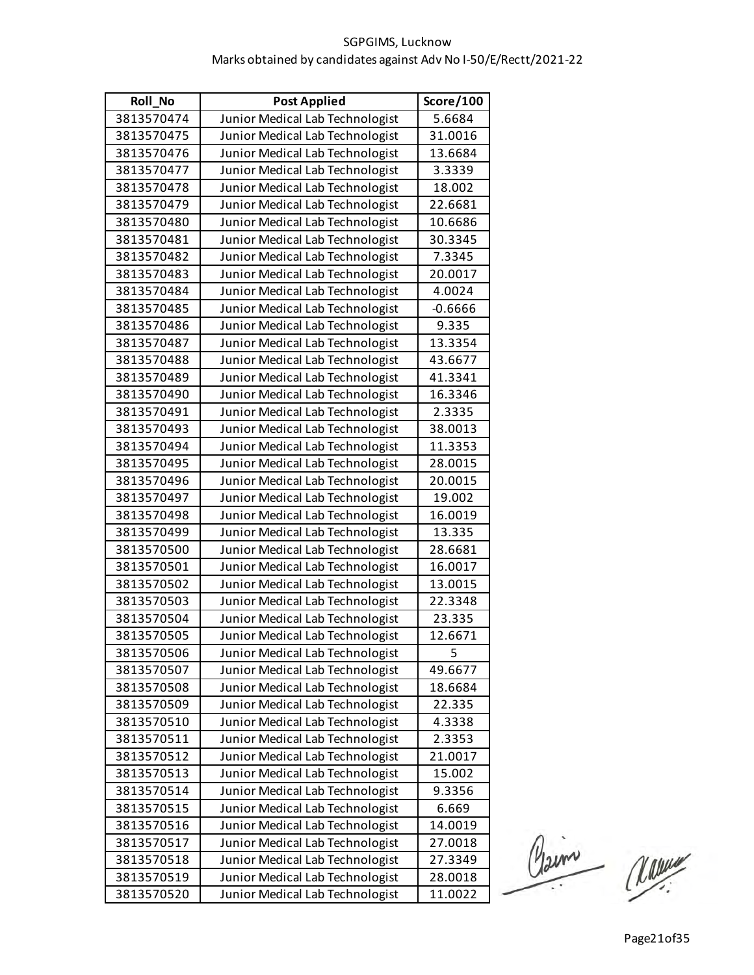| <b>Roll No</b> | <b>Post Applied</b>             | Score/100 |
|----------------|---------------------------------|-----------|
| 3813570474     | Junior Medical Lab Technologist | 5.6684    |
| 3813570475     | Junior Medical Lab Technologist | 31.0016   |
| 3813570476     | Junior Medical Lab Technologist | 13.6684   |
| 3813570477     | Junior Medical Lab Technologist | 3.3339    |
| 3813570478     | Junior Medical Lab Technologist | 18.002    |
| 3813570479     | Junior Medical Lab Technologist | 22.6681   |
| 3813570480     | Junior Medical Lab Technologist | 10.6686   |
| 3813570481     | Junior Medical Lab Technologist | 30.3345   |
| 3813570482     | Junior Medical Lab Technologist | 7.3345    |
| 3813570483     | Junior Medical Lab Technologist | 20.0017   |
| 3813570484     | Junior Medical Lab Technologist | 4.0024    |
| 3813570485     | Junior Medical Lab Technologist | $-0.6666$ |
| 3813570486     | Junior Medical Lab Technologist | 9.335     |
| 3813570487     | Junior Medical Lab Technologist | 13.3354   |
| 3813570488     | Junior Medical Lab Technologist | 43.6677   |
| 3813570489     | Junior Medical Lab Technologist | 41.3341   |
| 3813570490     | Junior Medical Lab Technologist | 16.3346   |
| 3813570491     | Junior Medical Lab Technologist | 2.3335    |
| 3813570493     | Junior Medical Lab Technologist | 38.0013   |
| 3813570494     | Junior Medical Lab Technologist | 11.3353   |
| 3813570495     | Junior Medical Lab Technologist | 28.0015   |
| 3813570496     | Junior Medical Lab Technologist | 20.0015   |
| 3813570497     | Junior Medical Lab Technologist | 19.002    |
| 3813570498     | Junior Medical Lab Technologist | 16.0019   |
| 3813570499     | Junior Medical Lab Technologist | 13.335    |
| 3813570500     | Junior Medical Lab Technologist | 28.6681   |
| 3813570501     | Junior Medical Lab Technologist | 16.0017   |
| 3813570502     | Junior Medical Lab Technologist | 13.0015   |
| 3813570503     | Junior Medical Lab Technologist | 22.3348   |
| 3813570504     | Junior Medical Lab Technologist | 23.335    |
| 3813570505     | Junior Medical Lab Technologist | 12.6671   |
| 3813570506     | Junior Medical Lab Technologist | 5         |
| 3813570507     | Junior Medical Lab Technologist | 49.6677   |
| 3813570508     | Junior Medical Lab Technologist | 18.6684   |
| 3813570509     | Junior Medical Lab Technologist | 22.335    |
| 3813570510     | Junior Medical Lab Technologist | 4.3338    |
| 3813570511     | Junior Medical Lab Technologist | 2.3353    |
| 3813570512     | Junior Medical Lab Technologist | 21.0017   |
| 3813570513     | Junior Medical Lab Technologist | 15.002    |
| 3813570514     | Junior Medical Lab Technologist | 9.3356    |
| 3813570515     | Junior Medical Lab Technologist | 6.669     |
| 3813570516     | Junior Medical Lab Technologist | 14.0019   |
| 3813570517     | Junior Medical Lab Technologist | 27.0018   |
| 3813570518     | Junior Medical Lab Technologist | 27.3349   |
| 3813570519     | Junior Medical Lab Technologist | 28.0018   |
| 3813570520     | Junior Medical Lab Technologist | 11.0022   |

Claime Manuel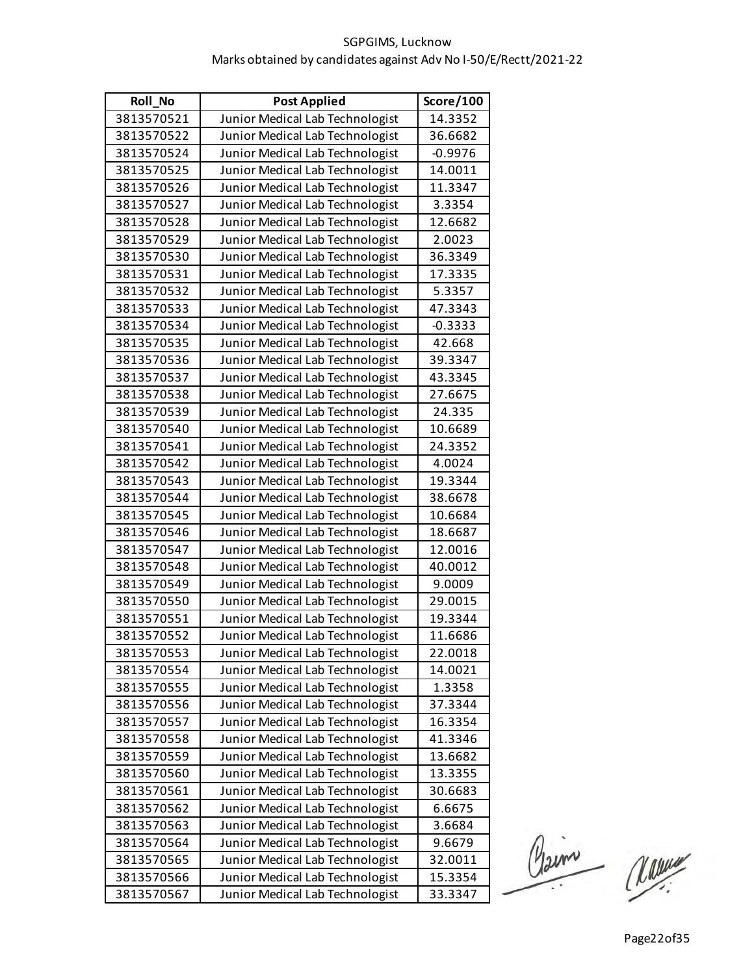| <b>Roll No</b> | <b>Post Applied</b>             | Score/100 |
|----------------|---------------------------------|-----------|
| 3813570521     | Junior Medical Lab Technologist | 14.3352   |
| 3813570522     | Junior Medical Lab Technologist | 36.6682   |
| 3813570524     | Junior Medical Lab Technologist | $-0.9976$ |
| 3813570525     | Junior Medical Lab Technologist | 14.0011   |
| 3813570526     | Junior Medical Lab Technologist | 11.3347   |
| 3813570527     | Junior Medical Lab Technologist | 3.3354    |
| 3813570528     | Junior Medical Lab Technologist | 12.6682   |
| 3813570529     | Junior Medical Lab Technologist | 2.0023    |
| 3813570530     | Junior Medical Lab Technologist | 36.3349   |
| 3813570531     | Junior Medical Lab Technologist | 17.3335   |
| 3813570532     | Junior Medical Lab Technologist | 5.3357    |
| 3813570533     | Junior Medical Lab Technologist | 47.3343   |
| 3813570534     | Junior Medical Lab Technologist | $-0.3333$ |
| 3813570535     | Junior Medical Lab Technologist | 42.668    |
| 3813570536     | Junior Medical Lab Technologist | 39.3347   |
| 3813570537     | Junior Medical Lab Technologist | 43.3345   |
| 3813570538     | Junior Medical Lab Technologist | 27.6675   |
| 3813570539     | Junior Medical Lab Technologist | 24.335    |
| 3813570540     | Junior Medical Lab Technologist | 10.6689   |
| 3813570541     | Junior Medical Lab Technologist | 24.3352   |
| 3813570542     | Junior Medical Lab Technologist | 4.0024    |
| 3813570543     | Junior Medical Lab Technologist | 19.3344   |
| 3813570544     | Junior Medical Lab Technologist | 38.6678   |
| 3813570545     | Junior Medical Lab Technologist | 10.6684   |
| 3813570546     | Junior Medical Lab Technologist | 18.6687   |
| 3813570547     | Junior Medical Lab Technologist | 12.0016   |
| 3813570548     | Junior Medical Lab Technologist | 40.0012   |
| 3813570549     | Junior Medical Lab Technologist | 9.0009    |
| 3813570550     | Junior Medical Lab Technologist | 29.0015   |
| 3813570551     | Junior Medical Lab Technologist | 19.3344   |
| 3813570552     | Junior Medical Lab Technologist | 11.6686   |
| 3813570553     | Junior Medical Lab Technologist | 22.0018   |
| 3813570554     | Junior Medical Lab Technologist | 14.0021   |
| 3813570555     | Junior Medical Lab Technologist | 1.3358    |
| 3813570556     | Junior Medical Lab Technologist | 37.3344   |
| 3813570557     | Junior Medical Lab Technologist | 16.3354   |
| 3813570558     | Junior Medical Lab Technologist | 41.3346   |
| 3813570559     | Junior Medical Lab Technologist | 13.6682   |
| 3813570560     | Junior Medical Lab Technologist | 13.3355   |
| 3813570561     | Junior Medical Lab Technologist | 30.6683   |
| 3813570562     | Junior Medical Lab Technologist | 6.6675    |
| 3813570563     | Junior Medical Lab Technologist | 3.6684    |
| 3813570564     | Junior Medical Lab Technologist | 9.6679    |
| 3813570565     | Junior Medical Lab Technologist | 32.0011   |
| 3813570566     | Junior Medical Lab Technologist | 15.3354   |
| 3813570567     | Junior Medical Lab Technologist | 33.3347   |

Claim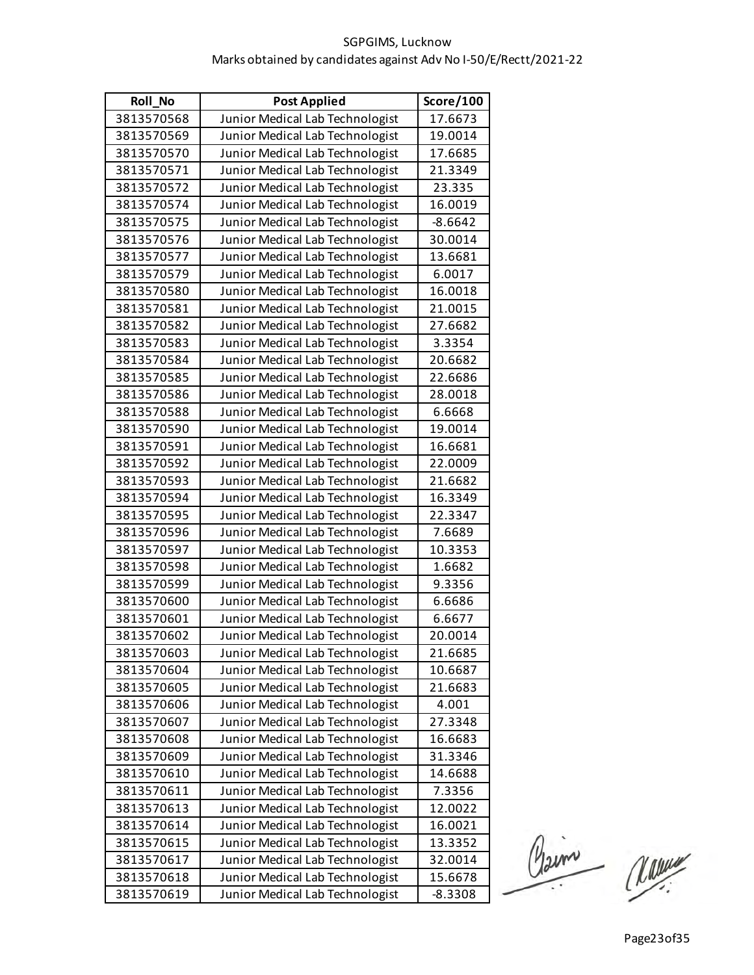| <b>Roll No</b> | <b>Post Applied</b>             | Score/100 |
|----------------|---------------------------------|-----------|
| 3813570568     | Junior Medical Lab Technologist | 17.6673   |
| 3813570569     | Junior Medical Lab Technologist | 19.0014   |
| 3813570570     | Junior Medical Lab Technologist | 17.6685   |
| 3813570571     | Junior Medical Lab Technologist | 21.3349   |
| 3813570572     | Junior Medical Lab Technologist | 23.335    |
| 3813570574     | Junior Medical Lab Technologist | 16.0019   |
| 3813570575     | Junior Medical Lab Technologist | $-8.6642$ |
| 3813570576     | Junior Medical Lab Technologist | 30.0014   |
| 3813570577     | Junior Medical Lab Technologist | 13.6681   |
| 3813570579     | Junior Medical Lab Technologist | 6.0017    |
| 3813570580     | Junior Medical Lab Technologist | 16.0018   |
| 3813570581     | Junior Medical Lab Technologist | 21.0015   |
| 3813570582     | Junior Medical Lab Technologist | 27.6682   |
| 3813570583     | Junior Medical Lab Technologist | 3.3354    |
| 3813570584     | Junior Medical Lab Technologist | 20.6682   |
| 3813570585     | Junior Medical Lab Technologist | 22.6686   |
| 3813570586     | Junior Medical Lab Technologist | 28.0018   |
| 3813570588     | Junior Medical Lab Technologist | 6.6668    |
| 3813570590     | Junior Medical Lab Technologist | 19.0014   |
| 3813570591     | Junior Medical Lab Technologist | 16.6681   |
| 3813570592     | Junior Medical Lab Technologist | 22.0009   |
| 3813570593     | Junior Medical Lab Technologist | 21.6682   |
| 3813570594     | Junior Medical Lab Technologist | 16.3349   |
| 3813570595     | Junior Medical Lab Technologist | 22.3347   |
| 3813570596     | Junior Medical Lab Technologist | 7.6689    |
| 3813570597     | Junior Medical Lab Technologist | 10.3353   |
| 3813570598     | Junior Medical Lab Technologist | 1.6682    |
| 3813570599     | Junior Medical Lab Technologist | 9.3356    |
| 3813570600     | Junior Medical Lab Technologist | 6.6686    |
| 3813570601     | Junior Medical Lab Technologist | 6.6677    |
| 3813570602     | Junior Medical Lab Technologist | 20.0014   |
| 3813570603     | Junior Medical Lab Technologist | 21.6685   |
| 3813570604     | Junior Medical Lab Technologist | 10.6687   |
| 3813570605     | Junior Medical Lab Technologist | 21.6683   |
| 3813570606     | Junior Medical Lab Technologist | 4.001     |
| 3813570607     | Junior Medical Lab Technologist | 27.3348   |
| 3813570608     | Junior Medical Lab Technologist | 16.6683   |
| 3813570609     | Junior Medical Lab Technologist | 31.3346   |
| 3813570610     | Junior Medical Lab Technologist | 14.6688   |
| 3813570611     | Junior Medical Lab Technologist | 7.3356    |
| 3813570613     | Junior Medical Lab Technologist | 12.0022   |
| 3813570614     | Junior Medical Lab Technologist | 16.0021   |
| 3813570615     | Junior Medical Lab Technologist | 13.3352   |
| 3813570617     | Junior Medical Lab Technologist | 32.0014   |
| 3813570618     | Junior Medical Lab Technologist | 15.6678   |
| 3813570619     | Junior Medical Lab Technologist | $-8.3308$ |

Claim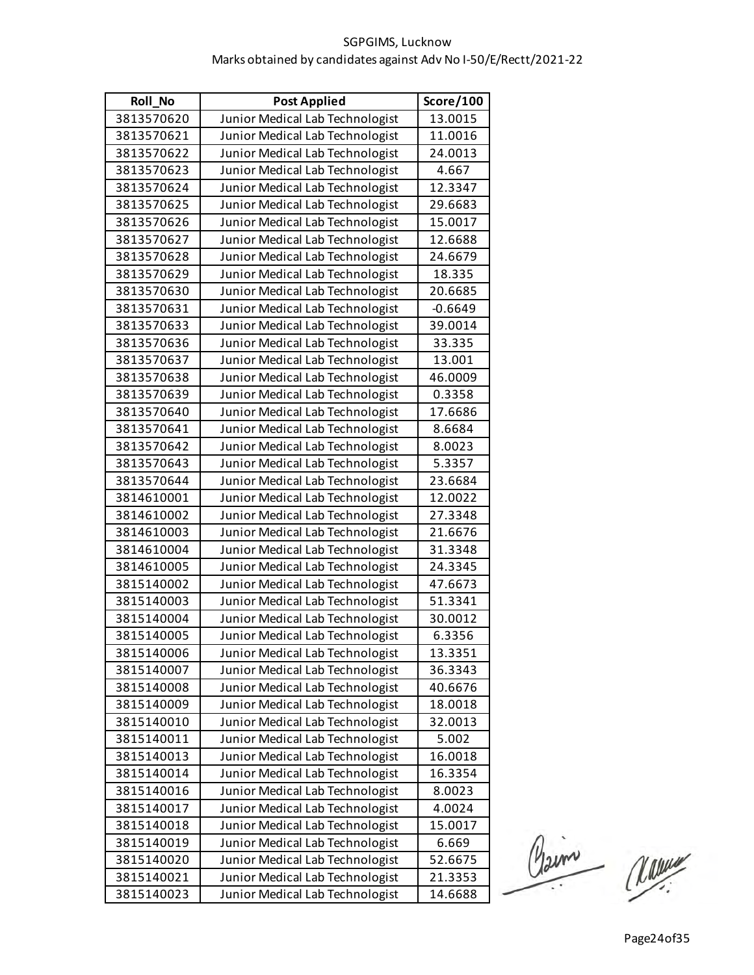| <b>Roll No</b> | <b>Post Applied</b>             | Score/100 |
|----------------|---------------------------------|-----------|
| 3813570620     | Junior Medical Lab Technologist | 13.0015   |
| 3813570621     | Junior Medical Lab Technologist | 11.0016   |
| 3813570622     | Junior Medical Lab Technologist | 24.0013   |
| 3813570623     | Junior Medical Lab Technologist | 4.667     |
| 3813570624     | Junior Medical Lab Technologist | 12.3347   |
| 3813570625     | Junior Medical Lab Technologist | 29.6683   |
| 3813570626     | Junior Medical Lab Technologist | 15.0017   |
| 3813570627     | Junior Medical Lab Technologist | 12.6688   |
| 3813570628     | Junior Medical Lab Technologist | 24.6679   |
| 3813570629     | Junior Medical Lab Technologist | 18.335    |
| 3813570630     | Junior Medical Lab Technologist | 20.6685   |
| 3813570631     | Junior Medical Lab Technologist | $-0.6649$ |
| 3813570633     | Junior Medical Lab Technologist | 39.0014   |
| 3813570636     | Junior Medical Lab Technologist | 33.335    |
| 3813570637     | Junior Medical Lab Technologist | 13.001    |
| 3813570638     | Junior Medical Lab Technologist | 46.0009   |
| 3813570639     | Junior Medical Lab Technologist | 0.3358    |
| 3813570640     | Junior Medical Lab Technologist | 17.6686   |
| 3813570641     | Junior Medical Lab Technologist | 8.6684    |
| 3813570642     | Junior Medical Lab Technologist | 8.0023    |
| 3813570643     | Junior Medical Lab Technologist | 5.3357    |
| 3813570644     | Junior Medical Lab Technologist | 23.6684   |
| 3814610001     | Junior Medical Lab Technologist | 12.0022   |
| 3814610002     | Junior Medical Lab Technologist | 27.3348   |
| 3814610003     | Junior Medical Lab Technologist | 21.6676   |
| 3814610004     | Junior Medical Lab Technologist | 31.3348   |
| 3814610005     | Junior Medical Lab Technologist | 24.3345   |
| 3815140002     | Junior Medical Lab Technologist | 47.6673   |
| 3815140003     | Junior Medical Lab Technologist | 51.3341   |
| 3815140004     | Junior Medical Lab Technologist | 30.0012   |
| 3815140005     | Junior Medical Lab Technologist | 6.3356    |
| 3815140006     | Junior Medical Lab Technologist | 13.3351   |
| 3815140007     | Junior Medical Lab Technologist | 36.3343   |
| 3815140008     | Junior Medical Lab Technologist | 40.6676   |
| 3815140009     | Junior Medical Lab Technologist | 18.0018   |
| 3815140010     | Junior Medical Lab Technologist | 32.0013   |
| 3815140011     | Junior Medical Lab Technologist | 5.002     |
| 3815140013     | Junior Medical Lab Technologist | 16.0018   |
| 3815140014     | Junior Medical Lab Technologist | 16.3354   |
| 3815140016     | Junior Medical Lab Technologist | 8.0023    |
| 3815140017     | Junior Medical Lab Technologist | 4.0024    |
| 3815140018     | Junior Medical Lab Technologist | 15.0017   |
| 3815140019     | Junior Medical Lab Technologist | 6.669     |
| 3815140020     | Junior Medical Lab Technologist | 52.6675   |
| 3815140021     | Junior Medical Lab Technologist | 21.3353   |
| 3815140023     | Junior Medical Lab Technologist | 14.6688   |

Claim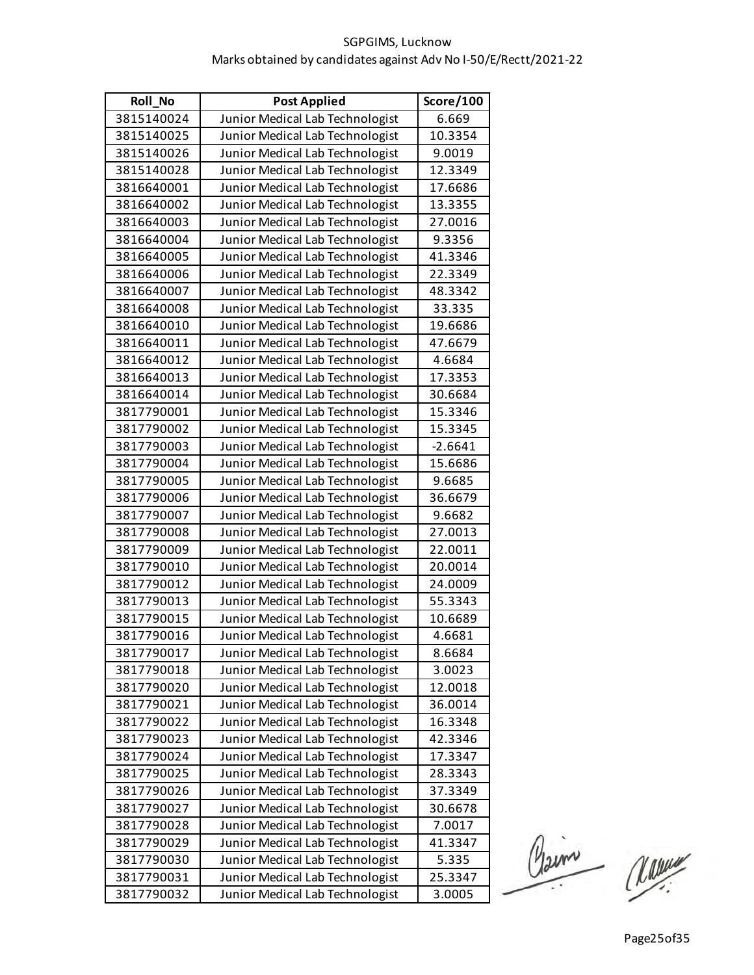| <b>Roll No</b> | <b>Post Applied</b>             | Score/100 |
|----------------|---------------------------------|-----------|
| 3815140024     | Junior Medical Lab Technologist | 6.669     |
| 3815140025     | Junior Medical Lab Technologist | 10.3354   |
| 3815140026     | Junior Medical Lab Technologist | 9.0019    |
| 3815140028     | Junior Medical Lab Technologist | 12.3349   |
| 3816640001     | Junior Medical Lab Technologist | 17.6686   |
| 3816640002     | Junior Medical Lab Technologist | 13.3355   |
| 3816640003     | Junior Medical Lab Technologist | 27.0016   |
| 3816640004     | Junior Medical Lab Technologist | 9.3356    |
| 3816640005     | Junior Medical Lab Technologist | 41.3346   |
| 3816640006     | Junior Medical Lab Technologist | 22.3349   |
| 3816640007     | Junior Medical Lab Technologist | 48.3342   |
| 3816640008     | Junior Medical Lab Technologist | 33.335    |
| 3816640010     | Junior Medical Lab Technologist | 19.6686   |
| 3816640011     | Junior Medical Lab Technologist | 47.6679   |
| 3816640012     | Junior Medical Lab Technologist | 4.6684    |
| 3816640013     | Junior Medical Lab Technologist | 17.3353   |
| 3816640014     | Junior Medical Lab Technologist | 30.6684   |
| 3817790001     | Junior Medical Lab Technologist | 15.3346   |
| 3817790002     | Junior Medical Lab Technologist | 15.3345   |
| 3817790003     | Junior Medical Lab Technologist | $-2.6641$ |
| 3817790004     | Junior Medical Lab Technologist | 15.6686   |
| 3817790005     | Junior Medical Lab Technologist | 9.6685    |
| 3817790006     | Junior Medical Lab Technologist | 36.6679   |
| 3817790007     | Junior Medical Lab Technologist | 9.6682    |
| 3817790008     | Junior Medical Lab Technologist | 27.0013   |
| 3817790009     | Junior Medical Lab Technologist | 22.0011   |
| 3817790010     | Junior Medical Lab Technologist | 20.0014   |
| 3817790012     | Junior Medical Lab Technologist | 24.0009   |
| 3817790013     | Junior Medical Lab Technologist | 55.3343   |
| 3817790015     | Junior Medical Lab Technologist | 10.6689   |
| 3817790016     | Junior Medical Lab Technologist | 4.6681    |
| 3817790017     | Junior Medical Lab Technologist | 8.6684    |
| 3817790018     | Junior Medical Lab Technologist | 3.0023    |
| 3817790020     | Junior Medical Lab Technologist | 12.0018   |
| 3817790021     | Junior Medical Lab Technologist | 36.0014   |
| 3817790022     | Junior Medical Lab Technologist | 16.3348   |
| 3817790023     | Junior Medical Lab Technologist | 42.3346   |
| 3817790024     | Junior Medical Lab Technologist | 17.3347   |
| 3817790025     | Junior Medical Lab Technologist | 28.3343   |
| 3817790026     | Junior Medical Lab Technologist | 37.3349   |
| 3817790027     | Junior Medical Lab Technologist | 30.6678   |
| 3817790028     | Junior Medical Lab Technologist | 7.0017    |
| 3817790029     | Junior Medical Lab Technologist | 41.3347   |
| 3817790030     | Junior Medical Lab Technologist | 5.335     |
| 3817790031     | Junior Medical Lab Technologist | 25.3347   |
| 3817790032     | Junior Medical Lab Technologist | 3.0005    |

Claim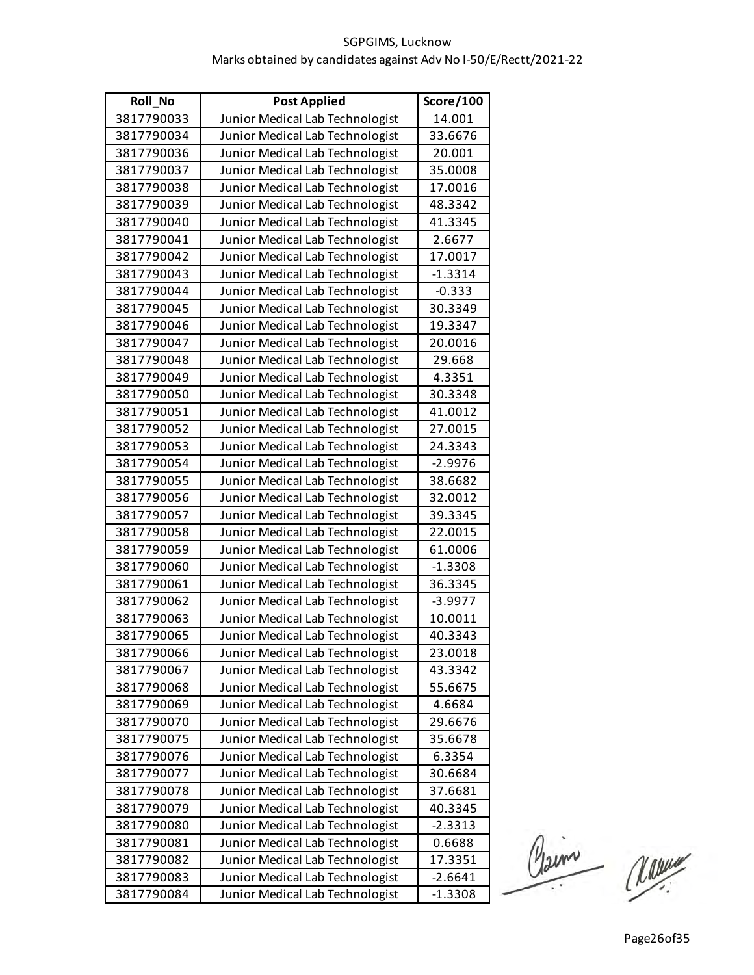| Roll_No    | <b>Post Applied</b>             | Score/100 |
|------------|---------------------------------|-----------|
| 3817790033 | Junior Medical Lab Technologist | 14.001    |
| 3817790034 | Junior Medical Lab Technologist | 33.6676   |
| 3817790036 | Junior Medical Lab Technologist | 20.001    |
| 3817790037 | Junior Medical Lab Technologist | 35.0008   |
| 3817790038 | Junior Medical Lab Technologist | 17.0016   |
| 3817790039 | Junior Medical Lab Technologist | 48.3342   |
| 3817790040 | Junior Medical Lab Technologist | 41.3345   |
| 3817790041 | Junior Medical Lab Technologist | 2.6677    |
| 3817790042 | Junior Medical Lab Technologist | 17.0017   |
| 3817790043 | Junior Medical Lab Technologist | $-1.3314$ |
| 3817790044 | Junior Medical Lab Technologist | $-0.333$  |
| 3817790045 | Junior Medical Lab Technologist | 30.3349   |
| 3817790046 | Junior Medical Lab Technologist | 19.3347   |
| 3817790047 | Junior Medical Lab Technologist | 20.0016   |
| 3817790048 | Junior Medical Lab Technologist | 29.668    |
| 3817790049 | Junior Medical Lab Technologist | 4.3351    |
| 3817790050 | Junior Medical Lab Technologist | 30.3348   |
| 3817790051 | Junior Medical Lab Technologist | 41.0012   |
| 3817790052 | Junior Medical Lab Technologist | 27.0015   |
| 3817790053 | Junior Medical Lab Technologist | 24.3343   |
| 3817790054 | Junior Medical Lab Technologist | $-2.9976$ |
| 3817790055 | Junior Medical Lab Technologist | 38.6682   |
| 3817790056 | Junior Medical Lab Technologist | 32.0012   |
| 3817790057 | Junior Medical Lab Technologist | 39.3345   |
| 3817790058 | Junior Medical Lab Technologist | 22.0015   |
| 3817790059 | Junior Medical Lab Technologist | 61.0006   |
| 3817790060 | Junior Medical Lab Technologist | $-1.3308$ |
| 3817790061 | Junior Medical Lab Technologist | 36.3345   |
| 3817790062 | Junior Medical Lab Technologist | $-3.9977$ |
| 3817790063 | Junior Medical Lab Technologist | 10.0011   |
| 3817790065 | Junior Medical Lab Technologist | 40.3343   |
| 3817790066 | Junior Medical Lab Technologist | 23.0018   |
| 3817790067 | Junior Medical Lab Technologist | 43.3342   |
| 3817790068 | Junior Medical Lab Technologist | 55.6675   |
| 3817790069 | Junior Medical Lab Technologist | 4.6684    |
| 3817790070 | Junior Medical Lab Technologist | 29.6676   |
| 3817790075 | Junior Medical Lab Technologist | 35.6678   |
| 3817790076 | Junior Medical Lab Technologist | 6.3354    |
| 3817790077 | Junior Medical Lab Technologist | 30.6684   |
| 3817790078 | Junior Medical Lab Technologist | 37.6681   |
| 3817790079 | Junior Medical Lab Technologist | 40.3345   |
| 3817790080 | Junior Medical Lab Technologist | $-2.3313$ |
| 3817790081 | Junior Medical Lab Technologist | 0.6688    |
| 3817790082 | Junior Medical Lab Technologist | 17.3351   |
| 3817790083 | Junior Medical Lab Technologist | $-2.6641$ |
| 3817790084 | Junior Medical Lab Technologist | $-1.3308$ |

Claime Une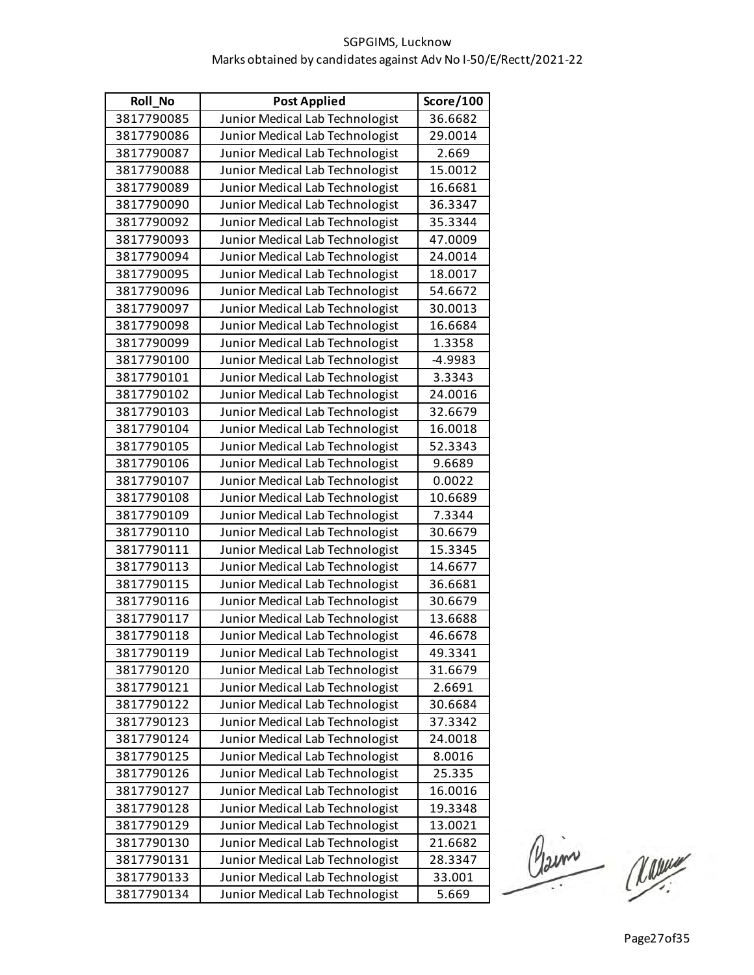| <b>Roll No</b> | <b>Post Applied</b>             | Score/100 |
|----------------|---------------------------------|-----------|
| 3817790085     | Junior Medical Lab Technologist | 36.6682   |
| 3817790086     | Junior Medical Lab Technologist | 29.0014   |
| 3817790087     | Junior Medical Lab Technologist | 2.669     |
| 3817790088     | Junior Medical Lab Technologist | 15.0012   |
| 3817790089     | Junior Medical Lab Technologist | 16.6681   |
| 3817790090     | Junior Medical Lab Technologist | 36.3347   |
| 3817790092     | Junior Medical Lab Technologist | 35.3344   |
| 3817790093     | Junior Medical Lab Technologist | 47.0009   |
| 3817790094     | Junior Medical Lab Technologist | 24.0014   |
| 3817790095     | Junior Medical Lab Technologist | 18.0017   |
| 3817790096     | Junior Medical Lab Technologist | 54.6672   |
| 3817790097     | Junior Medical Lab Technologist | 30.0013   |
| 3817790098     | Junior Medical Lab Technologist | 16.6684   |
| 3817790099     | Junior Medical Lab Technologist | 1.3358    |
| 3817790100     | Junior Medical Lab Technologist | $-4.9983$ |
| 3817790101     | Junior Medical Lab Technologist | 3.3343    |
| 3817790102     | Junior Medical Lab Technologist | 24.0016   |
| 3817790103     | Junior Medical Lab Technologist | 32.6679   |
| 3817790104     | Junior Medical Lab Technologist | 16.0018   |
| 3817790105     | Junior Medical Lab Technologist | 52.3343   |
| 3817790106     | Junior Medical Lab Technologist | 9.6689    |
| 3817790107     | Junior Medical Lab Technologist | 0.0022    |
| 3817790108     | Junior Medical Lab Technologist | 10.6689   |
| 3817790109     | Junior Medical Lab Technologist | 7.3344    |
| 3817790110     | Junior Medical Lab Technologist | 30.6679   |
| 3817790111     | Junior Medical Lab Technologist | 15.3345   |
| 3817790113     | Junior Medical Lab Technologist | 14.6677   |
| 3817790115     | Junior Medical Lab Technologist | 36.6681   |
| 3817790116     | Junior Medical Lab Technologist | 30.6679   |
| 3817790117     | Junior Medical Lab Technologist | 13.6688   |
| 3817790118     | Junior Medical Lab Technologist | 46.6678   |
| 3817790119     | Junior Medical Lab Technologist | 49.3341   |
| 3817790120     | Junior Medical Lab Technologist | 31.6679   |
| 3817790121     | Junior Medical Lab Technologist | 2.6691    |
| 3817790122     | Junior Medical Lab Technologist | 30.6684   |
| 3817790123     | Junior Medical Lab Technologist | 37.3342   |
| 3817790124     | Junior Medical Lab Technologist | 24.0018   |
| 3817790125     | Junior Medical Lab Technologist | 8.0016    |
| 3817790126     | Junior Medical Lab Technologist | 25.335    |
| 3817790127     | Junior Medical Lab Technologist | 16.0016   |
| 3817790128     | Junior Medical Lab Technologist | 19.3348   |
| 3817790129     | Junior Medical Lab Technologist | 13.0021   |
| 3817790130     | Junior Medical Lab Technologist | 21.6682   |
| 3817790131     | Junior Medical Lab Technologist | 28.3347   |
| 3817790133     | Junior Medical Lab Technologist | 33.001    |
| 3817790134     | Junior Medical Lab Technologist | 5.669     |

Claim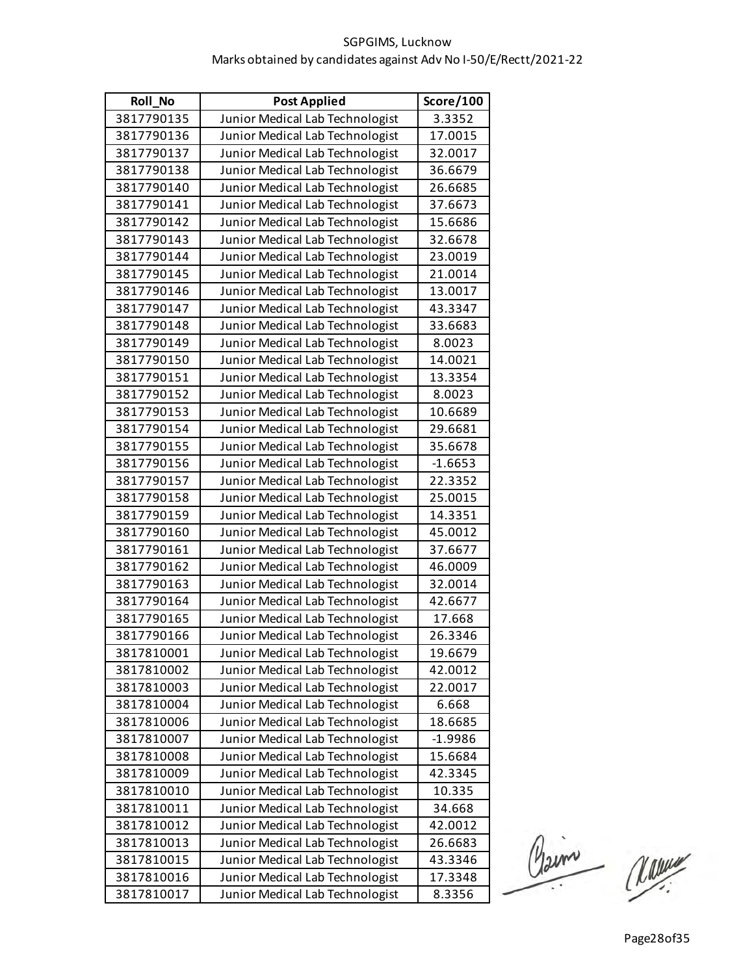| <b>Roll No</b> | <b>Post Applied</b>             | Score/100 |
|----------------|---------------------------------|-----------|
| 3817790135     | Junior Medical Lab Technologist | 3.3352    |
| 3817790136     | Junior Medical Lab Technologist | 17.0015   |
| 3817790137     | Junior Medical Lab Technologist | 32.0017   |
| 3817790138     | Junior Medical Lab Technologist | 36.6679   |
| 3817790140     | Junior Medical Lab Technologist | 26.6685   |
| 3817790141     | Junior Medical Lab Technologist | 37.6673   |
| 3817790142     | Junior Medical Lab Technologist | 15.6686   |
| 3817790143     | Junior Medical Lab Technologist | 32.6678   |
| 3817790144     | Junior Medical Lab Technologist | 23.0019   |
| 3817790145     | Junior Medical Lab Technologist | 21.0014   |
| 3817790146     | Junior Medical Lab Technologist | 13.0017   |
| 3817790147     | Junior Medical Lab Technologist | 43.3347   |
| 3817790148     | Junior Medical Lab Technologist | 33.6683   |
| 3817790149     | Junior Medical Lab Technologist | 8.0023    |
| 3817790150     | Junior Medical Lab Technologist | 14.0021   |
| 3817790151     | Junior Medical Lab Technologist | 13.3354   |
| 3817790152     | Junior Medical Lab Technologist | 8.0023    |
| 3817790153     | Junior Medical Lab Technologist | 10.6689   |
| 3817790154     | Junior Medical Lab Technologist | 29.6681   |
| 3817790155     | Junior Medical Lab Technologist | 35.6678   |
| 3817790156     | Junior Medical Lab Technologist | $-1.6653$ |
| 3817790157     | Junior Medical Lab Technologist | 22.3352   |
| 3817790158     | Junior Medical Lab Technologist | 25.0015   |
| 3817790159     | Junior Medical Lab Technologist | 14.3351   |
| 3817790160     | Junior Medical Lab Technologist | 45.0012   |
| 3817790161     | Junior Medical Lab Technologist | 37.6677   |
| 3817790162     | Junior Medical Lab Technologist | 46.0009   |
| 3817790163     | Junior Medical Lab Technologist | 32.0014   |
| 3817790164     | Junior Medical Lab Technologist | 42.6677   |
| 3817790165     | Junior Medical Lab Technologist | 17.668    |
| 3817790166     | Junior Medical Lab Technologist | 26.3346   |
| 3817810001     | Junior Medical Lab Technologist | 19.6679   |
| 3817810002     | Junior Medical Lab Technologist | 42.0012   |
| 3817810003     | Junior Medical Lab Technologist | 22.0017   |
| 3817810004     | Junior Medical Lab Technologist | 6.668     |
| 3817810006     | Junior Medical Lab Technologist | 18.6685   |
| 3817810007     | Junior Medical Lab Technologist | $-1.9986$ |
| 3817810008     | Junior Medical Lab Technologist | 15.6684   |
| 3817810009     | Junior Medical Lab Technologist | 42.3345   |
| 3817810010     | Junior Medical Lab Technologist | 10.335    |
| 3817810011     | Junior Medical Lab Technologist | 34.668    |
| 3817810012     | Junior Medical Lab Technologist | 42.0012   |
| 3817810013     | Junior Medical Lab Technologist | 26.6683   |
| 3817810015     | Junior Medical Lab Technologist | 43.3346   |
| 3817810016     | Junior Medical Lab Technologist | 17.3348   |
| 3817810017     | Junior Medical Lab Technologist | 8.3356    |

Claim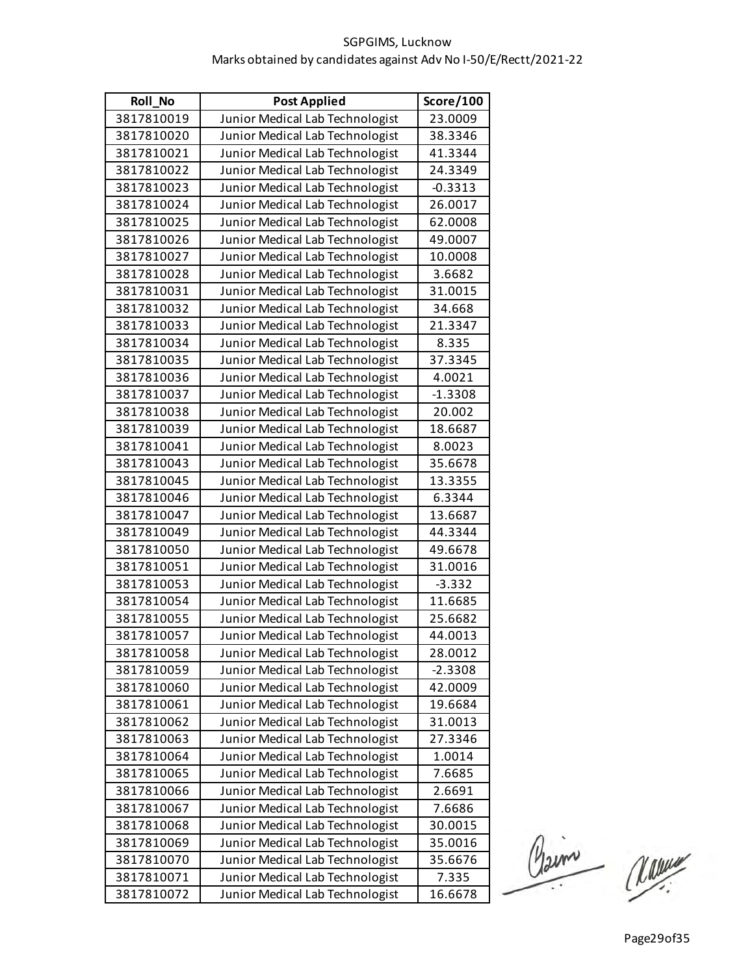| <b>Roll No</b> | <b>Post Applied</b>             | Score/100 |
|----------------|---------------------------------|-----------|
| 3817810019     | Junior Medical Lab Technologist | 23.0009   |
| 3817810020     | Junior Medical Lab Technologist | 38.3346   |
| 3817810021     | Junior Medical Lab Technologist | 41.3344   |
| 3817810022     | Junior Medical Lab Technologist | 24.3349   |
| 3817810023     | Junior Medical Lab Technologist | $-0.3313$ |
| 3817810024     | Junior Medical Lab Technologist | 26.0017   |
| 3817810025     | Junior Medical Lab Technologist | 62.0008   |
| 3817810026     | Junior Medical Lab Technologist | 49.0007   |
| 3817810027     | Junior Medical Lab Technologist | 10.0008   |
| 3817810028     | Junior Medical Lab Technologist | 3.6682    |
| 3817810031     | Junior Medical Lab Technologist | 31.0015   |
| 3817810032     | Junior Medical Lab Technologist | 34.668    |
| 3817810033     | Junior Medical Lab Technologist | 21.3347   |
| 3817810034     | Junior Medical Lab Technologist | 8.335     |
| 3817810035     | Junior Medical Lab Technologist | 37.3345   |
| 3817810036     | Junior Medical Lab Technologist | 4.0021    |
| 3817810037     | Junior Medical Lab Technologist | $-1.3308$ |
| 3817810038     | Junior Medical Lab Technologist | 20.002    |
| 3817810039     | Junior Medical Lab Technologist | 18.6687   |
| 3817810041     | Junior Medical Lab Technologist | 8.0023    |
| 3817810043     | Junior Medical Lab Technologist | 35.6678   |
| 3817810045     | Junior Medical Lab Technologist | 13.3355   |
| 3817810046     | Junior Medical Lab Technologist | 6.3344    |
| 3817810047     | Junior Medical Lab Technologist | 13.6687   |
| 3817810049     | Junior Medical Lab Technologist | 44.3344   |
| 3817810050     | Junior Medical Lab Technologist | 49.6678   |
| 3817810051     | Junior Medical Lab Technologist | 31.0016   |
| 3817810053     | Junior Medical Lab Technologist | $-3.332$  |
| 3817810054     | Junior Medical Lab Technologist | 11.6685   |
| 3817810055     | Junior Medical Lab Technologist | 25.6682   |
| 3817810057     | Junior Medical Lab Technologist | 44.0013   |
| 3817810058     | Junior Medical Lab Technologist | 28.0012   |
| 3817810059     | Junior Medical Lab Technologist | $-2.3308$ |
| 3817810060     | Junior Medical Lab Technologist | 42.0009   |
| 3817810061     | Junior Medical Lab Technologist | 19.6684   |
| 3817810062     | Junior Medical Lab Technologist | 31.0013   |
| 3817810063     | Junior Medical Lab Technologist | 27.3346   |
| 3817810064     | Junior Medical Lab Technologist | 1.0014    |
| 3817810065     | Junior Medical Lab Technologist | 7.6685    |
| 3817810066     | Junior Medical Lab Technologist | 2.6691    |
| 3817810067     | Junior Medical Lab Technologist | 7.6686    |
| 3817810068     | Junior Medical Lab Technologist | 30.0015   |
| 3817810069     | Junior Medical Lab Technologist | 35.0016   |
| 3817810070     | Junior Medical Lab Technologist | 35.6676   |
| 3817810071     | Junior Medical Lab Technologist | 7.335     |
| 3817810072     | Junior Medical Lab Technologist | 16.6678   |

Claim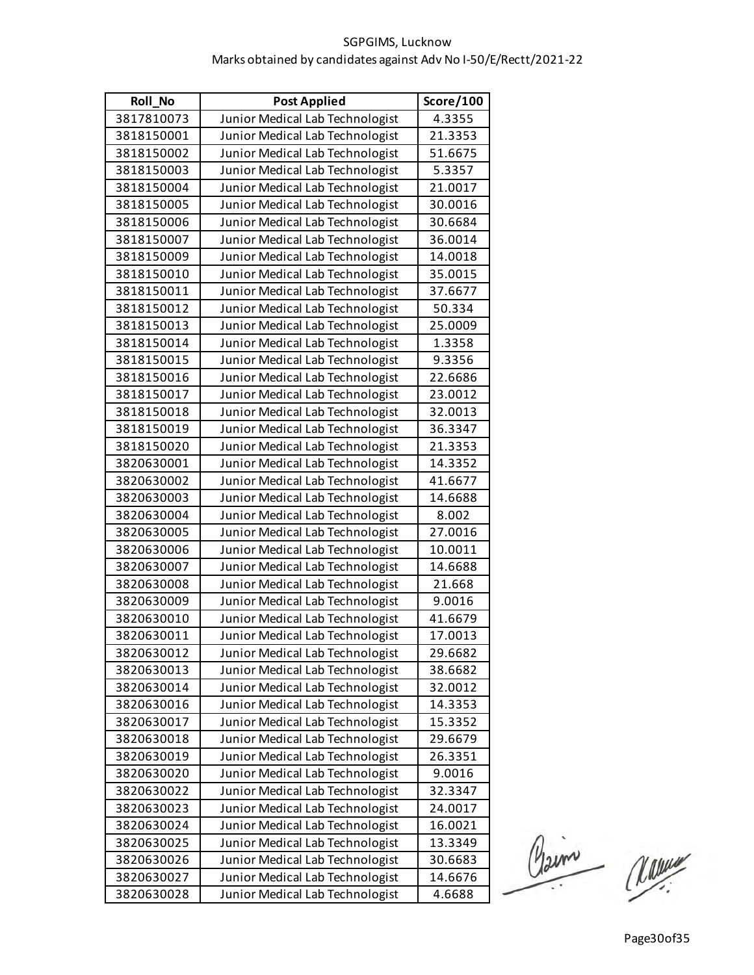| <b>Roll No</b> | <b>Post Applied</b>             | Score/100 |
|----------------|---------------------------------|-----------|
| 3817810073     | Junior Medical Lab Technologist | 4.3355    |
| 3818150001     | Junior Medical Lab Technologist | 21.3353   |
| 3818150002     | Junior Medical Lab Technologist | 51.6675   |
| 3818150003     | Junior Medical Lab Technologist | 5.3357    |
| 3818150004     | Junior Medical Lab Technologist | 21.0017   |
| 3818150005     | Junior Medical Lab Technologist | 30.0016   |
| 3818150006     | Junior Medical Lab Technologist | 30.6684   |
| 3818150007     | Junior Medical Lab Technologist | 36.0014   |
| 3818150009     | Junior Medical Lab Technologist | 14.0018   |
| 3818150010     | Junior Medical Lab Technologist | 35.0015   |
| 3818150011     | Junior Medical Lab Technologist | 37.6677   |
| 3818150012     | Junior Medical Lab Technologist | 50.334    |
| 3818150013     | Junior Medical Lab Technologist | 25.0009   |
| 3818150014     | Junior Medical Lab Technologist | 1.3358    |
| 3818150015     | Junior Medical Lab Technologist | 9.3356    |
| 3818150016     | Junior Medical Lab Technologist | 22.6686   |
| 3818150017     | Junior Medical Lab Technologist | 23.0012   |
| 3818150018     | Junior Medical Lab Technologist | 32.0013   |
| 3818150019     | Junior Medical Lab Technologist | 36.3347   |
| 3818150020     | Junior Medical Lab Technologist | 21.3353   |
| 3820630001     | Junior Medical Lab Technologist | 14.3352   |
| 3820630002     | Junior Medical Lab Technologist | 41.6677   |
| 3820630003     | Junior Medical Lab Technologist | 14.6688   |
| 3820630004     | Junior Medical Lab Technologist | 8.002     |
| 3820630005     | Junior Medical Lab Technologist | 27.0016   |
| 3820630006     | Junior Medical Lab Technologist | 10.0011   |
| 3820630007     | Junior Medical Lab Technologist | 14.6688   |
| 3820630008     | Junior Medical Lab Technologist | 21.668    |
| 3820630009     | Junior Medical Lab Technologist | 9.0016    |
| 3820630010     | Junior Medical Lab Technologist | 41.6679   |
| 3820630011     | Junior Medical Lab Technologist | 17.0013   |
| 3820630012     | Junior Medical Lab Technologist | 29.6682   |
| 3820630013     | Junior Medical Lab Technologist | 38.6682   |
| 3820630014     | Junior Medical Lab Technologist | 32.0012   |
| 3820630016     | Junior Medical Lab Technologist | 14.3353   |
| 3820630017     | Junior Medical Lab Technologist | 15.3352   |
| 3820630018     | Junior Medical Lab Technologist | 29.6679   |
| 3820630019     | Junior Medical Lab Technologist | 26.3351   |
| 3820630020     | Junior Medical Lab Technologist | 9.0016    |
| 3820630022     | Junior Medical Lab Technologist | 32.3347   |
| 3820630023     | Junior Medical Lab Technologist | 24.0017   |
| 3820630024     | Junior Medical Lab Technologist | 16.0021   |
| 3820630025     | Junior Medical Lab Technologist | 13.3349   |
| 3820630026     | Junior Medical Lab Technologist | 30.6683   |
| 3820630027     | Junior Medical Lab Technologist | 14.6676   |
| 3820630028     | Junior Medical Lab Technologist | 4.6688    |

Claim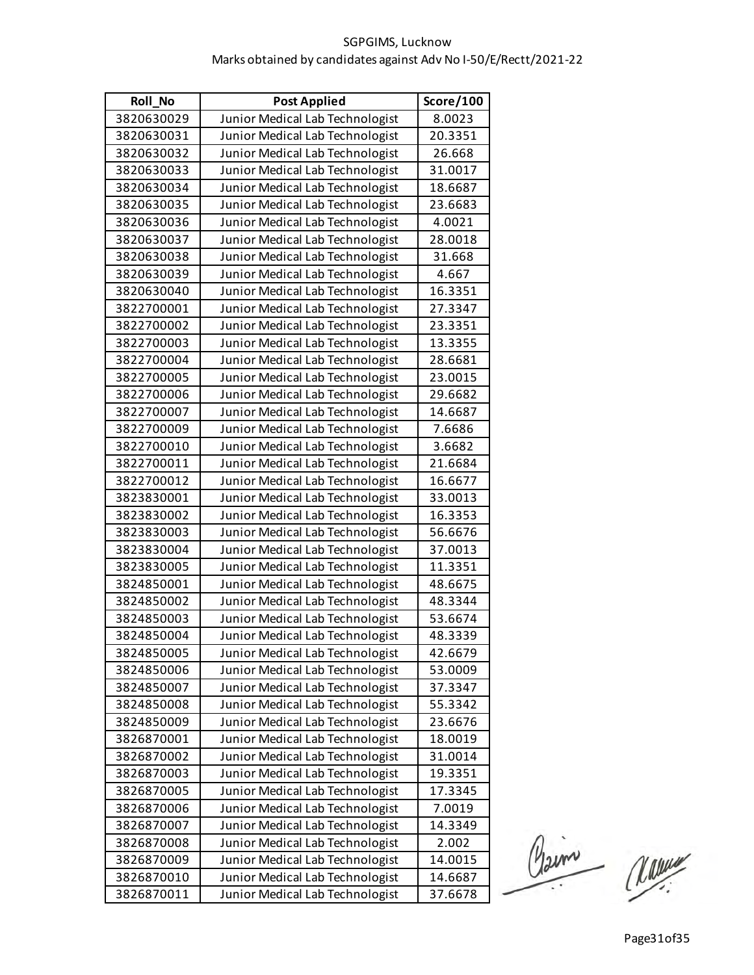| Roll_No    | <b>Post Applied</b>             | Score/100 |
|------------|---------------------------------|-----------|
| 3820630029 | Junior Medical Lab Technologist | 8.0023    |
| 3820630031 | Junior Medical Lab Technologist | 20.3351   |
| 3820630032 | Junior Medical Lab Technologist | 26.668    |
| 3820630033 | Junior Medical Lab Technologist | 31.0017   |
| 3820630034 | Junior Medical Lab Technologist | 18.6687   |
| 3820630035 | Junior Medical Lab Technologist | 23.6683   |
| 3820630036 | Junior Medical Lab Technologist | 4.0021    |
| 3820630037 | Junior Medical Lab Technologist | 28.0018   |
| 3820630038 | Junior Medical Lab Technologist | 31.668    |
| 3820630039 | Junior Medical Lab Technologist | 4.667     |
| 3820630040 | Junior Medical Lab Technologist | 16.3351   |
| 3822700001 | Junior Medical Lab Technologist | 27.3347   |
| 3822700002 | Junior Medical Lab Technologist | 23.3351   |
| 3822700003 | Junior Medical Lab Technologist | 13.3355   |
| 3822700004 | Junior Medical Lab Technologist | 28.6681   |
| 3822700005 | Junior Medical Lab Technologist | 23.0015   |
| 3822700006 | Junior Medical Lab Technologist | 29.6682   |
| 3822700007 | Junior Medical Lab Technologist | 14.6687   |
| 3822700009 | Junior Medical Lab Technologist | 7.6686    |
| 3822700010 | Junior Medical Lab Technologist | 3.6682    |
| 3822700011 | Junior Medical Lab Technologist | 21.6684   |
| 3822700012 | Junior Medical Lab Technologist | 16.6677   |
| 3823830001 | Junior Medical Lab Technologist | 33.0013   |
| 3823830002 | Junior Medical Lab Technologist | 16.3353   |
| 3823830003 | Junior Medical Lab Technologist | 56.6676   |
| 3823830004 | Junior Medical Lab Technologist | 37.0013   |
| 3823830005 | Junior Medical Lab Technologist | 11.3351   |
| 3824850001 | Junior Medical Lab Technologist | 48.6675   |
| 3824850002 | Junior Medical Lab Technologist | 48.3344   |
| 3824850003 | Junior Medical Lab Technologist | 53.6674   |
| 3824850004 | Junior Medical Lab Technologist | 48.3339   |
| 3824850005 | Junior Medical Lab Technologist | 42.6679   |
| 3824850006 | Junior Medical Lab Technologist | 53.0009   |
| 3824850007 | Junior Medical Lab Technologist | 37.3347   |
| 3824850008 | Junior Medical Lab Technologist | 55.3342   |
| 3824850009 | Junior Medical Lab Technologist | 23.6676   |
| 3826870001 | Junior Medical Lab Technologist | 18.0019   |
| 3826870002 | Junior Medical Lab Technologist | 31.0014   |
| 3826870003 | Junior Medical Lab Technologist | 19.3351   |
| 3826870005 | Junior Medical Lab Technologist | 17.3345   |
| 3826870006 | Junior Medical Lab Technologist | 7.0019    |
| 3826870007 | Junior Medical Lab Technologist | 14.3349   |
| 3826870008 | Junior Medical Lab Technologist | 2.002     |
| 3826870009 | Junior Medical Lab Technologist | 14.0015   |
| 3826870010 | Junior Medical Lab Technologist | 14.6687   |
| 3826870011 | Junior Medical Lab Technologist | 37.6678   |

Claime Une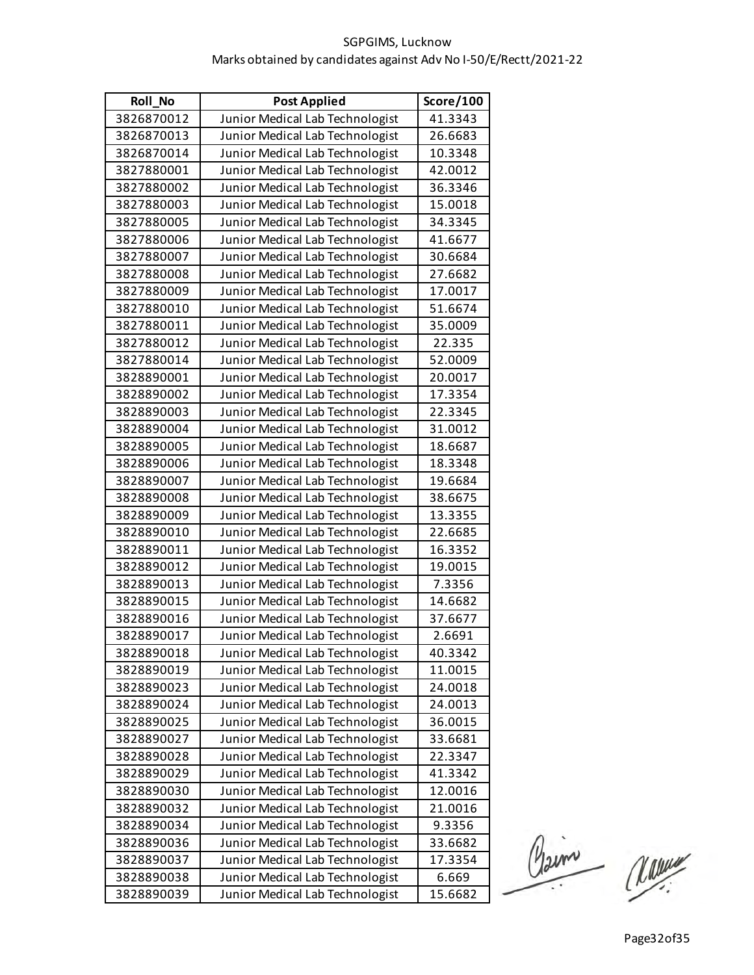| Roll_No    | <b>Post Applied</b>             | Score/100 |
|------------|---------------------------------|-----------|
| 3826870012 | Junior Medical Lab Technologist | 41.3343   |
| 3826870013 | Junior Medical Lab Technologist | 26.6683   |
| 3826870014 | Junior Medical Lab Technologist | 10.3348   |
| 3827880001 | Junior Medical Lab Technologist | 42.0012   |
| 3827880002 | Junior Medical Lab Technologist | 36.3346   |
| 3827880003 | Junior Medical Lab Technologist | 15.0018   |
| 3827880005 | Junior Medical Lab Technologist | 34.3345   |
| 3827880006 | Junior Medical Lab Technologist | 41.6677   |
| 3827880007 | Junior Medical Lab Technologist | 30.6684   |
| 3827880008 | Junior Medical Lab Technologist | 27.6682   |
| 3827880009 | Junior Medical Lab Technologist | 17.0017   |
| 3827880010 | Junior Medical Lab Technologist | 51.6674   |
| 3827880011 | Junior Medical Lab Technologist | 35.0009   |
| 3827880012 | Junior Medical Lab Technologist | 22.335    |
| 3827880014 | Junior Medical Lab Technologist | 52.0009   |
| 3828890001 | Junior Medical Lab Technologist | 20.0017   |
| 3828890002 | Junior Medical Lab Technologist | 17.3354   |
| 3828890003 | Junior Medical Lab Technologist | 22.3345   |
| 3828890004 | Junior Medical Lab Technologist | 31.0012   |
| 3828890005 | Junior Medical Lab Technologist | 18.6687   |
| 3828890006 | Junior Medical Lab Technologist | 18.3348   |
| 3828890007 | Junior Medical Lab Technologist | 19.6684   |
| 3828890008 | Junior Medical Lab Technologist | 38.6675   |
| 3828890009 | Junior Medical Lab Technologist | 13.3355   |
| 3828890010 | Junior Medical Lab Technologist | 22.6685   |
| 3828890011 | Junior Medical Lab Technologist | 16.3352   |
| 3828890012 | Junior Medical Lab Technologist | 19.0015   |
| 3828890013 | Junior Medical Lab Technologist | 7.3356    |
| 3828890015 | Junior Medical Lab Technologist | 14.6682   |
| 3828890016 | Junior Medical Lab Technologist | 37.6677   |
| 3828890017 | Junior Medical Lab Technologist | 2.6691    |
| 3828890018 | Junior Medical Lab Technologist | 40.3342   |
| 3828890019 | Junior Medical Lab Technologist | 11.0015   |
| 3828890023 | Junior Medical Lab Technologist | 24.0018   |
| 3828890024 | Junior Medical Lab Technologist | 24.0013   |
| 3828890025 | Junior Medical Lab Technologist | 36.0015   |
| 3828890027 | Junior Medical Lab Technologist | 33.6681   |
| 3828890028 | Junior Medical Lab Technologist | 22.3347   |
| 3828890029 | Junior Medical Lab Technologist | 41.3342   |
| 3828890030 | Junior Medical Lab Technologist | 12.0016   |
| 3828890032 | Junior Medical Lab Technologist | 21.0016   |
| 3828890034 | Junior Medical Lab Technologist | 9.3356    |
| 3828890036 | Junior Medical Lab Technologist | 33.6682   |
| 3828890037 | Junior Medical Lab Technologist | 17.3354   |
| 3828890038 | Junior Medical Lab Technologist | 6.669     |
| 3828890039 | Junior Medical Lab Technologist | 15.6682   |

Claim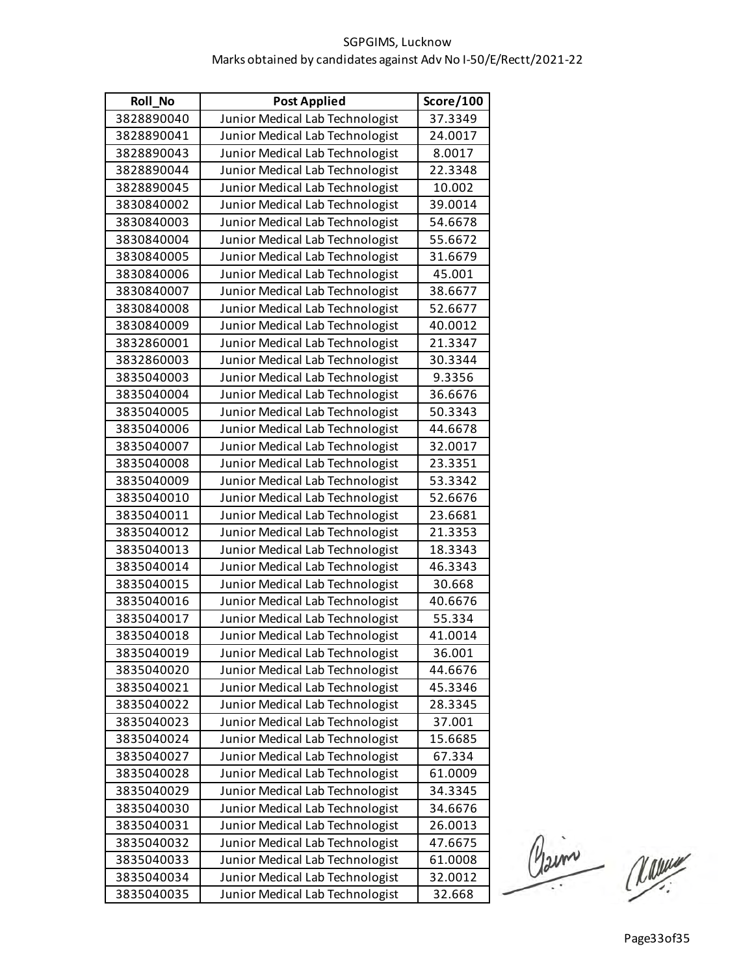| Roll_No    | <b>Post Applied</b>             | Score/100 |
|------------|---------------------------------|-----------|
| 3828890040 | Junior Medical Lab Technologist | 37.3349   |
| 3828890041 | Junior Medical Lab Technologist | 24.0017   |
| 3828890043 | Junior Medical Lab Technologist | 8.0017    |
| 3828890044 | Junior Medical Lab Technologist | 22.3348   |
| 3828890045 | Junior Medical Lab Technologist | 10.002    |
| 3830840002 | Junior Medical Lab Technologist | 39.0014   |
| 3830840003 | Junior Medical Lab Technologist | 54.6678   |
| 3830840004 | Junior Medical Lab Technologist | 55.6672   |
| 3830840005 | Junior Medical Lab Technologist | 31.6679   |
| 3830840006 | Junior Medical Lab Technologist | 45.001    |
| 3830840007 | Junior Medical Lab Technologist | 38.6677   |
| 3830840008 | Junior Medical Lab Technologist | 52.6677   |
| 3830840009 | Junior Medical Lab Technologist | 40.0012   |
| 3832860001 | Junior Medical Lab Technologist | 21.3347   |
| 3832860003 | Junior Medical Lab Technologist | 30.3344   |
| 3835040003 | Junior Medical Lab Technologist | 9.3356    |
| 3835040004 | Junior Medical Lab Technologist | 36.6676   |
| 3835040005 | Junior Medical Lab Technologist | 50.3343   |
| 3835040006 | Junior Medical Lab Technologist | 44.6678   |
| 3835040007 | Junior Medical Lab Technologist | 32.0017   |
| 3835040008 | Junior Medical Lab Technologist | 23.3351   |
| 3835040009 | Junior Medical Lab Technologist | 53.3342   |
| 3835040010 | Junior Medical Lab Technologist | 52.6676   |
| 3835040011 | Junior Medical Lab Technologist | 23.6681   |
| 3835040012 | Junior Medical Lab Technologist | 21.3353   |
| 3835040013 | Junior Medical Lab Technologist | 18.3343   |
| 3835040014 | Junior Medical Lab Technologist | 46.3343   |
| 3835040015 | Junior Medical Lab Technologist | 30.668    |
| 3835040016 | Junior Medical Lab Technologist | 40.6676   |
| 3835040017 | Junior Medical Lab Technologist | 55.334    |
| 3835040018 | Junior Medical Lab Technologist | 41.0014   |
| 3835040019 | Junior Medical Lab Technologist | 36.001    |
| 3835040020 | Junior Medical Lab Technologist | 44.6676   |
| 3835040021 | Junior Medical Lab Technologist | 45.3346   |
| 3835040022 | Junior Medical Lab Technologist | 28.3345   |
| 3835040023 | Junior Medical Lab Technologist | 37.001    |
| 3835040024 | Junior Medical Lab Technologist | 15.6685   |
| 3835040027 | Junior Medical Lab Technologist | 67.334    |
| 3835040028 | Junior Medical Lab Technologist | 61.0009   |
| 3835040029 | Junior Medical Lab Technologist | 34.3345   |
| 3835040030 | Junior Medical Lab Technologist | 34.6676   |
| 3835040031 | Junior Medical Lab Technologist | 26.0013   |
| 3835040032 | Junior Medical Lab Technologist | 47.6675   |
| 3835040033 | Junior Medical Lab Technologist | 61.0008   |
| 3835040034 | Junior Medical Lab Technologist | 32.0012   |
| 3835040035 | Junior Medical Lab Technologist | 32.668    |

Claim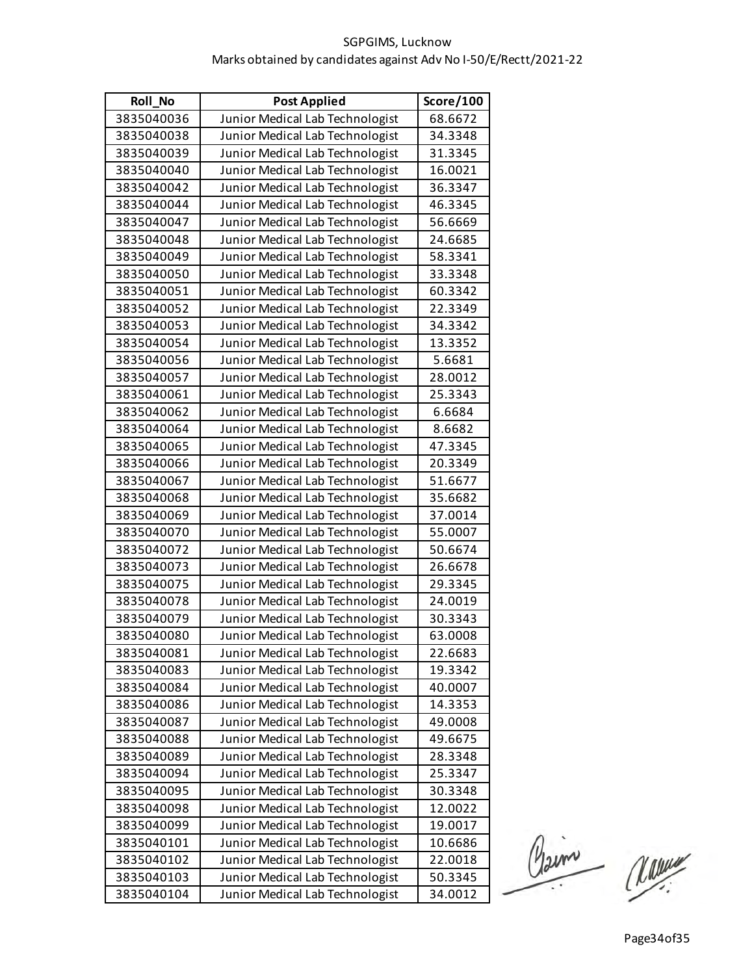| Roll_No    | <b>Post Applied</b>             | Score/100 |
|------------|---------------------------------|-----------|
| 3835040036 | Junior Medical Lab Technologist | 68.6672   |
| 3835040038 | Junior Medical Lab Technologist | 34.3348   |
| 3835040039 | Junior Medical Lab Technologist | 31.3345   |
| 3835040040 | Junior Medical Lab Technologist | 16.0021   |
| 3835040042 | Junior Medical Lab Technologist | 36.3347   |
| 3835040044 | Junior Medical Lab Technologist | 46.3345   |
| 3835040047 | Junior Medical Lab Technologist | 56.6669   |
| 3835040048 | Junior Medical Lab Technologist | 24.6685   |
| 3835040049 | Junior Medical Lab Technologist | 58.3341   |
| 3835040050 | Junior Medical Lab Technologist | 33.3348   |
| 3835040051 | Junior Medical Lab Technologist | 60.3342   |
| 3835040052 | Junior Medical Lab Technologist | 22.3349   |
| 3835040053 | Junior Medical Lab Technologist | 34.3342   |
| 3835040054 | Junior Medical Lab Technologist | 13.3352   |
| 3835040056 | Junior Medical Lab Technologist | 5.6681    |
| 3835040057 | Junior Medical Lab Technologist | 28.0012   |
| 3835040061 | Junior Medical Lab Technologist | 25.3343   |
| 3835040062 | Junior Medical Lab Technologist | 6.6684    |
| 3835040064 | Junior Medical Lab Technologist | 8.6682    |
| 3835040065 | Junior Medical Lab Technologist | 47.3345   |
| 3835040066 | Junior Medical Lab Technologist | 20.3349   |
| 3835040067 | Junior Medical Lab Technologist | 51.6677   |
| 3835040068 | Junior Medical Lab Technologist | 35.6682   |
| 3835040069 | Junior Medical Lab Technologist | 37.0014   |
| 3835040070 | Junior Medical Lab Technologist | 55.0007   |
| 3835040072 | Junior Medical Lab Technologist | 50.6674   |
| 3835040073 | Junior Medical Lab Technologist | 26.6678   |
| 3835040075 | Junior Medical Lab Technologist | 29.3345   |
| 3835040078 | Junior Medical Lab Technologist | 24.0019   |
| 3835040079 | Junior Medical Lab Technologist | 30.3343   |
| 3835040080 | Junior Medical Lab Technologist | 63.0008   |
| 3835040081 | Junior Medical Lab Technologist | 22.6683   |
| 3835040083 | Junior Medical Lab Technologist | 19.3342   |
| 3835040084 | Junior Medical Lab Technologist | 40.0007   |
| 3835040086 | Junior Medical Lab Technologist | 14.3353   |
| 3835040087 | Junior Medical Lab Technologist | 49.0008   |
| 3835040088 | Junior Medical Lab Technologist | 49.6675   |
| 3835040089 | Junior Medical Lab Technologist | 28.3348   |
| 3835040094 | Junior Medical Lab Technologist | 25.3347   |
| 3835040095 | Junior Medical Lab Technologist | 30.3348   |
| 3835040098 | Junior Medical Lab Technologist | 12.0022   |
| 3835040099 | Junior Medical Lab Technologist | 19.0017   |
| 3835040101 | Junior Medical Lab Technologist | 10.6686   |
| 3835040102 | Junior Medical Lab Technologist | 22.0018   |
| 3835040103 | Junior Medical Lab Technologist | 50.3345   |
| 3835040104 | Junior Medical Lab Technologist | 34.0012   |

Paine Manuel